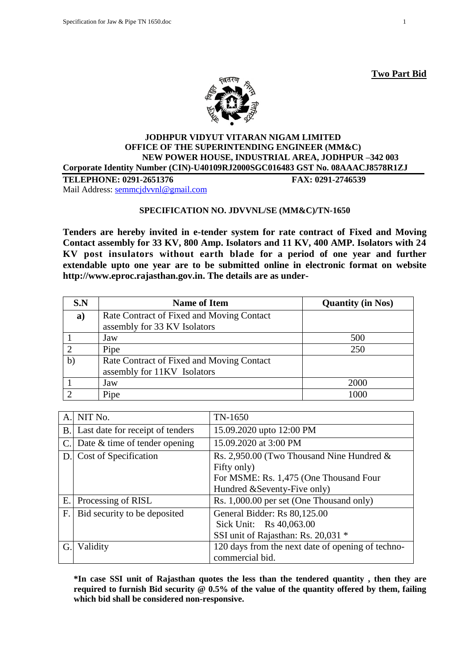



#### **JODHPUR VIDYUT VITARAN NIGAM LIMITED OFFICE OF THE SUPERINTENDING ENGINEER (MM&C) NEW POWER HOUSE, INDUSTRIAL AREA, JODHPUR –342 003 Corporate Identity Number (CIN)-U40109RJ2000SGC016483 GST No. 08AAACJ8578R1ZJ**

**TELEPHONE: 0291-2651376 FAX: 0291-2746539** Mail Address: [semmcjdvvnl@gmail.com](mailto:semmcjdvvnl@gmail.com)

# **SPECIFICATION NO. JDVVNL/SE (MM&C)/TN-1650**

**Tenders are hereby invited in e-tender system for rate contract of Fixed and Moving Contact assembly for 33 KV, 800 Amp. Isolators and 11 KV, 400 AMP. Isolators with 24 KV post insulators without earth blade for a period of one year and further extendable upto one year are to be submitted online in electronic format on website http://www.eproc.rajasthan.gov.in. The details are as under-**

| S.N          | <b>Name of Item</b>                                                       | <b>Quantity (in Nos)</b> |
|--------------|---------------------------------------------------------------------------|--------------------------|
| a)           | Rate Contract of Fixed and Moving Contact<br>assembly for 33 KV Isolators |                          |
|              | Jaw                                                                       | 500                      |
|              | Pipe                                                                      | 250                      |
| $\mathbf{b}$ | Rate Contract of Fixed and Moving Contact<br>assembly for 11KV Isolators  |                          |
|              | Jaw                                                                       | 2000                     |
|              | Pipe                                                                      | 1000                     |

| A.          | NIT No.                             | TN-1650                                           |
|-------------|-------------------------------------|---------------------------------------------------|
|             | B. Last date for receipt of tenders | 15.09.2020 upto 12:00 PM                          |
|             | C. Date $&$ time of tender opening  | 15.09.2020 at 3:00 PM                             |
|             | D. Cost of Specification            | Rs. 2,950.00 (Two Thousand Nine Hundred $\&$      |
|             |                                     | Fifty only)                                       |
|             |                                     | For MSME: Rs. 1,475 (One Thousand Four            |
|             |                                     | Hundred & Seventy-Five only)                      |
|             | E. Processing of RISL               | Rs. 1,000.00 per set (One Thousand only)          |
| $F_{\cdot}$ | Bid security to be deposited        | General Bidder: Rs 80,125.00                      |
|             |                                     | Sick Unit: Rs 40,063.00                           |
|             |                                     | SSI unit of Rajasthan: Rs. 20,031 *               |
| G.          | Validity                            | 120 days from the next date of opening of techno- |
|             |                                     | commercial bid.                                   |

**\*In case SSI unit of Rajasthan quotes the less than the tendered quantity , then they are required to furnish Bid security @ 0.5% of the value of the quantity offered by them, failing which bid shall be considered non-responsive.**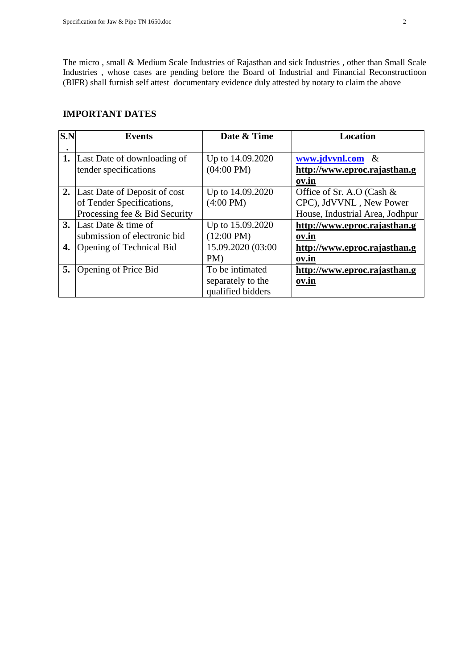The micro , small & Medium Scale Industries of Rajasthan and sick Industries , other than Small Scale Industries , whose cases are pending before the Board of Industrial and Financial Reconstructioon (BIFR) shall furnish self attest documentary evidence duly attested by notary to claim the above

#### **IMPORTANT DATES**

| S.N | <b>Events</b>                   | Date & Time          | <b>Location</b>                 |
|-----|---------------------------------|----------------------|---------------------------------|
|     |                                 |                      |                                 |
| 1.  | Last Date of downloading of     | Up to 14.09.2020     | www.jdvvnl.com<br>$\&$          |
|     | tender specifications           | $(04:00 \text{ PM})$ | http://www.eproc.rajasthan.g    |
|     |                                 |                      | ov.in                           |
|     | 2. Last Date of Deposit of cost | Up to 14.09.2020     | Office of Sr. A.O (Cash &       |
|     | of Tender Specifications,       | $(4:00 \text{ PM})$  | CPC), JdVVNL, New Power         |
|     | Processing fee & Bid Security   |                      | House, Industrial Area, Jodhpur |
|     | <b>3.</b> Last Date & time of   | Up to 15.09.2020     | http://www.eproc.rajasthan.g    |
|     | submission of electronic bid    | $(12:00 \text{ PM})$ | ov.in                           |
| 4.  | Opening of Technical Bid        | 15.09.2020 (03:00    | http://www.eproc.rajasthan.g    |
|     |                                 | PM                   | ov.in                           |
| 5.  | Opening of Price Bid            | To be intimated      | http://www.eproc.rajasthan.g    |
|     |                                 | separately to the    | ov.in                           |
|     |                                 | qualified bidders    |                                 |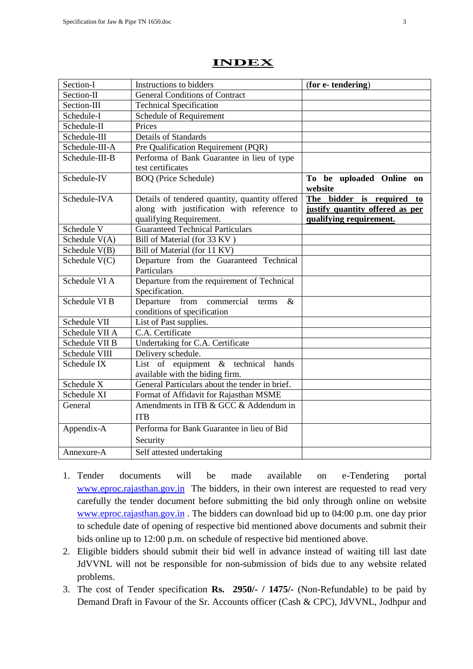| Section-I       | Instructions to bidders                                                      | (for e-tendering)                   |
|-----------------|------------------------------------------------------------------------------|-------------------------------------|
| Section-II      | <b>General Conditions of Contract</b>                                        |                                     |
| Section-III     | <b>Technical Specification</b>                                               |                                     |
| Schedule-I      | Schedule of Requirement                                                      |                                     |
| Schedule-II     | Prices                                                                       |                                     |
| Schedule-III    | <b>Details of Standards</b>                                                  |                                     |
| Schedule-III-A  | Pre Qualification Requirement (PQR)                                          |                                     |
| Schedule-III-B  | Performa of Bank Guarantee in lieu of type                                   |                                     |
|                 | test certificates                                                            |                                     |
| Schedule-IV     | <b>BOQ</b> (Price Schedule)                                                  | To be uploaded Online on<br>website |
| Schedule-IVA    | Details of tendered quantity, quantity offered                               | The bidder is required to           |
|                 | along with justification with reference to                                   | justify quantity offered as per     |
|                 | qualifying Requirement.                                                      | qualifying requirement.             |
| Schedule V      | <b>Guaranteed Technical Particulars</b>                                      |                                     |
| Schedule V(A)   | Bill of Material (for 33 KV)                                                 |                                     |
| Schedule $V(B)$ | Bill of Material (for 11 KV)                                                 |                                     |
| Schedule $V(C)$ | Departure from the Guaranteed Technical<br>Particulars                       |                                     |
| Schedule VI A   | Departure from the requirement of Technical                                  |                                     |
|                 | Specification.                                                               |                                     |
| Schedule VI B   | from commercial<br>Departure<br>$\&$<br>terms<br>conditions of specification |                                     |
| Schedule VII    | List of Past supplies.                                                       |                                     |
| Schedule VII A  | C.A. Certificate                                                             |                                     |
| Schedule VII B  | Undertaking for C.A. Certificate                                             |                                     |
| Schedule VIII   | Delivery schedule.                                                           |                                     |
| Schedule IX     | List of equipment $\&$ technical<br>hands                                    |                                     |
|                 | available with the biding firm.                                              |                                     |
| Schedule X      | General Particulars about the tender in brief.                               |                                     |
| Schedule XI     | Format of Affidavit for Rajasthan MSME                                       |                                     |
| General         | Amendments in ITB & GCC & Addendum in                                        |                                     |
|                 | <b>ITB</b>                                                                   |                                     |
| Appendix-A      | Performa for Bank Guarantee in lieu of Bid                                   |                                     |
|                 | Security                                                                     |                                     |
| Annexure-A      | Self attested undertaking                                                    |                                     |

# **INDEX**

- 1. Tender documents will be made available on e-Tendering portal [www.eproc.rajasthan.gov.in](http://www.eproc.rajasthan.gov.in/) The bidders, in their own interest are requested to read very carefully the tender document before submitting the bid only through online on website [www.eproc.rajasthan.gov.in](http://www.eproc.rajasthan.gov.in/). The bidders can download bid up to 04:00 p.m. one day prior to schedule date of opening of respective bid mentioned above documents and submit their bids online up to 12:00 p.m. on schedule of respective bid mentioned above.
- 2. Eligible bidders should submit their bid well in advance instead of waiting till last date JdVVNL will not be responsible for non-submission of bids due to any website related problems.
- 3. The cost of Tender specification **Rs. 2950/- / 1475/-** (Non-Refundable) to be paid by Demand Draft in Favour of the Sr. Accounts officer (Cash & CPC), JdVVNL, Jodhpur and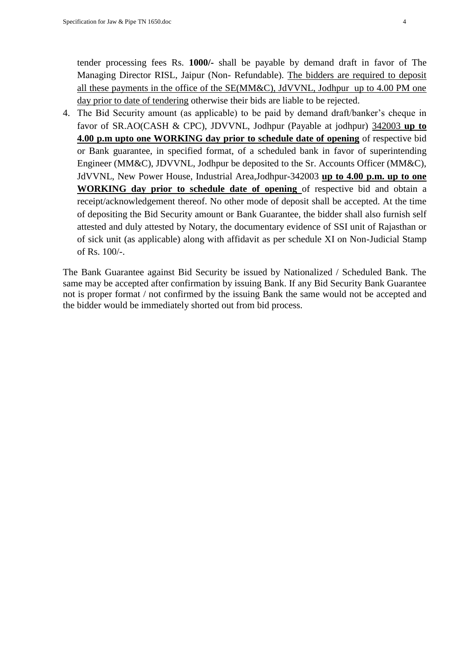tender processing fees Rs. **1000/-** shall be payable by demand draft in favor of The Managing Director RISL, Jaipur (Non- Refundable). The bidders are required to deposit all these payments in the office of the SE(MM&C), JdVVNL, Jodhpur up to 4.00 PM one day prior to date of tendering otherwise their bids are liable to be rejected.

4. The Bid Security amount (as applicable) to be paid by demand draft/banker"s cheque in favor of SR.AO(CASH & CPC), JDVVNL, Jodhpur (Payable at jodhpur) 342003 **up to 4.00 p.m upto one WORKING day prior to schedule date of opening** of respective bid or Bank guarantee, in specified format, of a scheduled bank in favor of superintending Engineer (MM&C), JDVVNL, Jodhpur be deposited to the Sr. Accounts Officer (MM&C), JdVVNL, New Power House, Industrial Area,Jodhpur-342003 **up to 4.00 p.m. up to one WORKING day prior to schedule date of opening** of respective bid and obtain a receipt/acknowledgement thereof. No other mode of deposit shall be accepted. At the time of depositing the Bid Security amount or Bank Guarantee, the bidder shall also furnish self attested and duly attested by Notary, the documentary evidence of SSI unit of Rajasthan or of sick unit (as applicable) along with affidavit as per schedule XI on Non-Judicial Stamp of Rs. 100/-.

The Bank Guarantee against Bid Security be issued by Nationalized / Scheduled Bank. The same may be accepted after confirmation by issuing Bank. If any Bid Security Bank Guarantee not is proper format / not confirmed by the issuing Bank the same would not be accepted and the bidder would be immediately shorted out from bid process.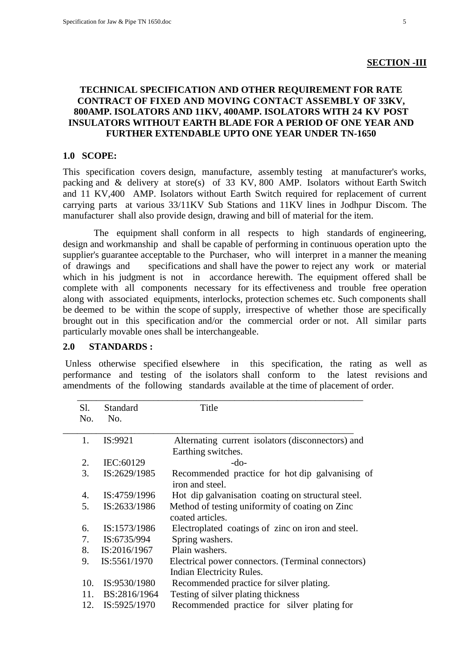### **TECHNICAL SPECIFICATION AND OTHER REQUIREMENT FOR RATE CONTRACT OF FIXED AND MOVING CONTACT ASSEMBLY OF 33KV, 800AMP. ISOLATORS AND 11KV, 400AMP. ISOLATORS WITH 24 KV POST INSULATORS WITHOUT EARTH BLADE FOR A PERIOD OF ONE YEAR AND FURTHER EXTENDABLE UPTO ONE YEAR UNDER TN-1650**

#### **1.0 SCOPE:**

This specification covers design, manufacture, assembly testing at manufacturer's works, packing and & delivery at store(s) of 33 KV, 800 AMP. Isolators without Earth Switch and 11 KV,400 AMP. Isolators without Earth Switch required for replacement of current carrying parts at various 33/11KV Sub Stations and 11KV lines in Jodhpur Discom. The manufacturer shall also provide design, drawing and bill of material for the item.

 The equipment shall conform in all respects to high standards of engineering, design and workmanship and shall be capable of performing in continuous operation upto the supplier's guarantee acceptable to the Purchaser, who will interpret in a manner the meaning of drawings and specifications and shall have the power to reject any work or material which in his judgment is not in accordance herewith. The equipment offered shall be complete with all components necessary for its effectiveness and trouble free operation along with associated equipments, interlocks, protection schemes etc. Such components shall be deemed to be within the scope of supply, irrespective of whether those are specifically brought out in this specification and/or the commercial order or not. All similar parts particularly movable ones shall be interchangeable. j

#### **2.0 STANDARDS :**

Unless otherwise specified elsewhere in this specification, the rating as well as performance and testing of the isolators shall conform to the latest revisions and amendments of the following standards available at the time of placement of order.

| Sl. | Standard     | Title                                                               |
|-----|--------------|---------------------------------------------------------------------|
| No. | No.          |                                                                     |
| 1.  | IS:9921      | Alternating current isolators (disconnectors) and                   |
|     |              | Earthing switches.                                                  |
| 2.  | IEC:60129    | $-do-$                                                              |
| 3.  | IS:2629/1985 | Recommended practice for hot dip galvanising of<br>iron and steel.  |
| 4.  | IS:4759/1996 | Hot dip galvanisation coating on structural steel.                  |
| 5.  | IS:2633/1986 | Method of testing uniformity of coating on Zinc<br>coated articles. |
| 6.  | IS:1573/1986 | Electroplated coatings of zinc on iron and steel.                   |
| 7.  | IS:6735/994  | Spring washers.                                                     |
| 8.  | IS:2016/1967 | Plain washers.                                                      |
| 9.  | IS:5561/1970 | Electrical power connectors. (Terminal connectors)                  |
|     |              | Indian Electricity Rules.                                           |
| 10. | IS:9530/1980 | Recommended practice for silver plating.                            |
| 11. | BS:2816/1964 | Testing of silver plating thickness                                 |
| 12. | IS:5925/1970 | Recommended practice for silver plating for                         |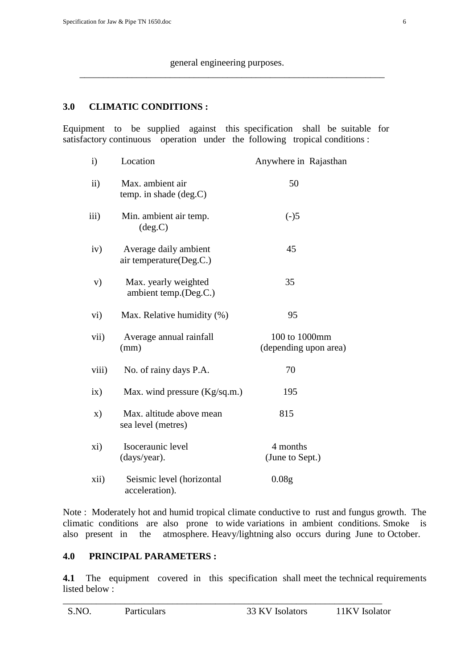\_\_\_\_\_\_\_\_\_\_\_\_\_\_\_\_\_\_\_\_\_\_\_\_\_\_\_\_\_\_\_\_\_\_\_\_\_\_\_\_\_\_\_\_\_\_\_\_\_\_\_\_\_\_\_\_\_\_\_\_\_\_\_\_

# **3.0 CLIMATIC CONDITIONS :**

Equipment to be supplied against this specification shall be suitable for satisfactory continuous operation under the following tropical conditions :

| $\mathbf{i}$  | Location                                         | Anywhere in Rajasthan                  |
|---------------|--------------------------------------------------|----------------------------------------|
| ii)           | Max. ambient air<br>temp. in shade (deg.C)       | 50                                     |
| iii)          | Min. ambient air temp.<br>deg.C)                 | $(-)5$                                 |
| iv)           | Average daily ambient<br>air temperature(Deg.C.) | 45                                     |
| V)            | Max. yearly weighted<br>ambient temp.(Deg.C.)    | 35                                     |
| vi)           | Max. Relative humidity (%)                       | 95                                     |
| vii)          | Average annual rainfall<br>(mm)                  | 100 to 1000mm<br>(depending upon area) |
| viii)         | No. of rainy days P.A.                           | 70                                     |
| ix)           | Max. wind pressure (Kg/sq.m.)                    | 195                                    |
| $\mathbf{x})$ | Max. altitude above mean<br>sea level (metres)   | 815                                    |
| xi)           | Isoceraunic level<br>(days/year).                | 4 months<br>(June to Sept.)            |
| xii)          | Seismic level (horizontal<br>acceleration).      | 0.08 <sub>g</sub>                      |

Note : Moderately hot and humid tropical climate conductive to rust and fungus growth. The climatic conditions are also prone to wide variations in ambient conditions. Smoke is also present in the atmosphere. Heavy/lightning also occurs during June to October.

### **4.0 PRINCIPAL PARAMETERS :**

**4.1** The equipment covered in this specification shall meet the technical requirements listed below :

\_\_\_\_\_\_\_\_\_\_\_\_\_\_\_\_\_\_\_\_\_\_\_\_\_\_\_\_\_\_\_\_\_\_\_\_\_\_\_\_\_\_\_\_\_\_\_\_\_\_\_\_\_\_\_\_\_\_\_\_\_\_\_\_\_\_\_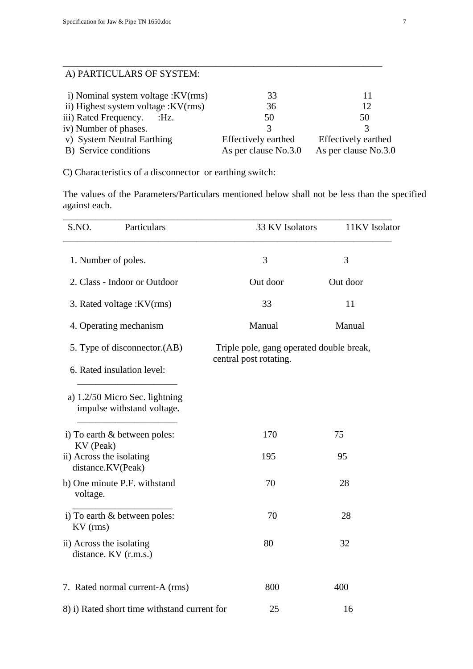# A) PARTICULARS OF SYSTEM:

| i) Nominal system voltage : KV(rms)  | 33                   |                            |
|--------------------------------------|----------------------|----------------------------|
| ii) Highest system voltage : KV(rms) | 36                   | 12                         |
| iii) Rated Frequency. : Hz.          | 50                   | 50                         |
| iv) Number of phases.                |                      |                            |
| v) System Neutral Earthing           | Effectively earthed  | <b>Effectively earthed</b> |
| B) Service conditions                | As per clause No.3.0 | As per clause No.3.0       |
|                                      |                      |                            |

\_\_\_\_\_\_\_\_\_\_\_\_\_\_\_\_\_\_\_\_\_\_\_\_\_\_\_\_\_\_\_\_\_\_\_\_\_\_\_\_\_\_\_\_\_\_\_\_\_\_\_\_\_\_\_\_\_\_\_\_\_\_\_\_\_\_\_

C) Characteristics of a disconnector or earthing switch:

The values of the Parameters/Particulars mentioned below shall not be less than the specified against each.

| Particulars<br>S.NO.                                         | 33 KV Isolators                                                    | 11KV Isolator |
|--------------------------------------------------------------|--------------------------------------------------------------------|---------------|
| 1. Number of poles.                                          | 3                                                                  | 3             |
| 2. Class - Indoor or Outdoor                                 | Out door                                                           | Out door      |
| 3. Rated voltage : KV(rms)                                   | 33                                                                 | 11            |
| 4. Operating mechanism                                       | Manual                                                             | Manual        |
| 5. Type of disconnector. (AB)                                | Triple pole, gang operated double break,<br>central post rotating. |               |
| 6. Rated insulation level:                                   |                                                                    |               |
| a) 1.2/50 Micro Sec. lightning<br>impulse withstand voltage. |                                                                    |               |
| i) To earth & between poles:<br>KV (Peak)                    | 170                                                                | 75            |
| ii) Across the isolating<br>distance.KV(Peak)                | 195                                                                | 95            |
| b) One minute P.F. withstand<br>voltage.                     | 70                                                                 | 28            |
| i) To earth & between poles:<br>KV (rms)                     | 70                                                                 | 28            |
| ii) Across the isolating<br>distance. KV (r.m.s.)            | 80                                                                 | 32            |
| 7. Rated normal current-A (rms)                              | 800                                                                | 400           |
| 8) i) Rated short time withstand current for                 | 25                                                                 | 16            |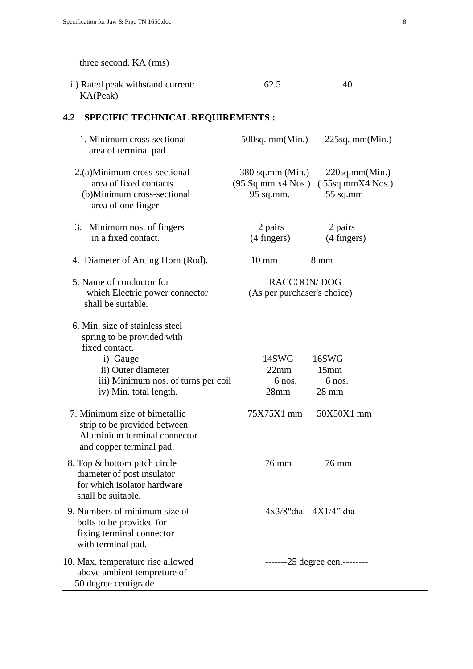three second. KA (rms) ii) Rated peak withstand current: 62.5 40 KA(Peak) **4.2 SPECIFIC TECHNICAL REQUIREMENTS :**  1. Minimum cross-sectional 500sq. mm(Min.) 225sq. mm(Min.) area of terminal pad . 2.(a)Minimum cross-sectional 380 sq.mm (Min.) 220sq.mm(Min.) area of fixed contacts. (95 Sq.mm.x4 Nos.) ( 55sq.mmX4 Nos.) (b)Minimum cross-sectional 95 sq.mm. 55 sq.mm area of one finger 3. Minimum nos. of fingers 2 pairs 2 pairs 2 pairs in a fixed contact. (4 fingers) (4 fingers) 4. Diameter of Arcing Horn (Rod). 10 mm 8 mm 5. Name of conductor for RACCOON/ DOG which Electric power connector (As per purchaser's choice) shall be suitable. 6. Min. size of stainless steel spring to be provided with fixed contact. i) Gauge 14SWG 16SWG ii) Outer diameter 22mm 15mm iii) Minimum nos. of turns per coil 6 nos. 6 nos. iv) Min. total length. 28mm 28 mm 7. Minimum size of bimetallic 75X75X1 mm 50X50X1 mm strip to be provided between Aluminium terminal connector and copper terminal pad. 8. Top & bottom pitch circle 76 mm 76 mm 76 mm diameter of post insulator for which isolator hardware shall be suitable. 9. Numbers of minimum size of  $4x3/8"$ dia  $4X1/4"$  dia bolts to be provided for fixing terminal connector with terminal pad. 10. Max. temperature rise allowed  $\frac{125}{25}$  -------25 degree cen.------- above ambient tempreture of 50 degree centigrade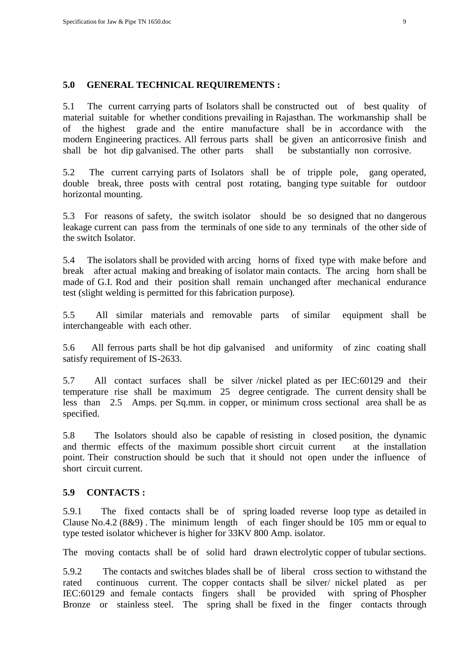### **5.0 GENERAL TECHNICAL REQUIREMENTS :**

5.1 The current carrying parts of Isolators shall be constructed out of best quality of material suitable for whether conditions prevailing in Rajasthan. The workmanship shall be of the highest grade and the entire manufacture shall be in accordance with the modern Engineering practices. All ferrous parts shall be given an anticorrosive finish and shall be hot dip galvanised. The other parts shall be substantially non corrosive.

5.2 The current carrying parts of Isolators shall be of tripple pole, gang operated, double break, three posts with central post rotating, banging type suitable for outdoor horizontal mounting.

5.3 For reasons of safety, the switch isolator should be so designed that no dangerous leakage current can pass from the terminals of one side to any terminals of the other side of the switch Isolator.

5.4 The isolators shall be provided with arcing horns of fixed type with make before and break after actual making and breaking of isolator main contacts. The arcing horn shall be made of G.I. Rod and their position shall remain unchanged after mechanical endurance test (slight welding is permitted for this fabrication purpose).

5.5 All similar materials and removable parts of similar equipment shall be interchangeable with each other.

5.6 All ferrous parts shall be hot dip galvanised and uniformity of zinc coating shall satisfy requirement of IS-2633.

5.7 All contact surfaces shall be silver /nickel plated as per IEC:60129 and their temperature rise shall be maximum 25 degree centigrade. The current density shall be less than 2.5 Amps. per Sq.mm. in copper, or minimum cross sectional area shall be as specified.

5.8 The Isolators should also be capable of resisting in closed position, the dynamic and thermic effects of the maximum possible short circuit current at the installation point. Their construction should be such that it should not open under the influence of short circuit current.

### **5.9 CONTACTS :**

5.9.1 The fixed contacts shall be of spring loaded reverse loop type as detailed in Clause No.4.2 (8&9) . The minimum length of each finger should be 105 mm or equal to type tested isolator whichever is higher for 33KV 800 Amp. isolator.

The moving contacts shall be of solid hard drawn electrolytic copper of tubular sections.

5.9.2 The contacts and switches blades shall be of liberal cross section to withstand the rated continuous current. The copper contacts shall be silver/ nickel plated as per IEC:60129 and female contacts fingers shall be provided with spring of Phospher Bronze or stainless steel. The spring shall be fixed in the finger contacts through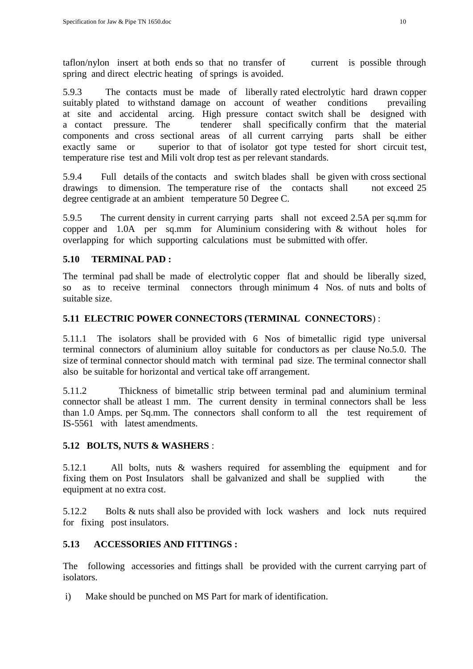taflon/nylon insert at both ends so that no transfer of current is possible through spring and direct electric heating of springs is avoided.

5.9.3 The contacts must be made of liberally rated electrolytic hard drawn copper suitably plated to withstand damage on account of weather conditions prevailing at site and accidental arcing. High pressure contact switch shall be designed with a contact pressure. The tenderer shall specifically confirm that the material components and cross sectional areas of all current carrying parts shall be either exactly same or superior to that of isolator got type tested for short circuit test, temperature rise test and Mili volt drop test as per relevant standards.

5.9.4 Full details of the contacts and switch blades shall be given with cross sectional drawings to dimension. The temperature rise of the contacts shall not exceed 25 degree centigrade at an ambient temperature 50 Degree C.

5.9.5 The current density in current carrying parts shall not exceed 2.5A per sq.mm for copper and 1.0A per sq.mm for Aluminium considering with & without holes for overlapping for which supporting calculations must be submitted with offer.

# **5.10 TERMINAL PAD :**

The terminal pad shall be made of electrolytic copper flat and should be liberally sized, so as to receive terminal connectors through minimum 4 Nos. of nuts and bolts of suitable size.

# **5.11 ELECTRIC POWER CONNECTORS (TERMINAL CONNECTORS**) :

5.11.1 The isolators shall be provided with 6 Nos of bimetallic rigid type universal terminal connectors of aluminium alloy suitable for conductors as per clause No.5.0. The size of terminal connector should match with terminal pad size. The terminal connector shall also be suitable for horizontal and vertical take off arrangement.

5.11.2 Thickness of bimetallic strip between terminal pad and aluminium terminal connector shall be atleast 1 mm. The current density in terminal connectors shall be less than 1.0 Amps. per Sq.mm. The connectors shall conform to all the test requirement of IS-5561 with latest amendments.

### **5.12 BOLTS, NUTS & WASHERS** :

5.12.1 All bolts, nuts & washers required for assembling the equipment and for fixing them on Post Insulators shall be galvanized and shall be supplied with the equipment at no extra cost.

5.12.2 Bolts & nuts shall also be provided with lock washers and lock nuts required for fixing post insulators.

### **5.13 ACCESSORIES AND FITTINGS :**

The following accessories and fittings shall be provided with the current carrying part of isolators.

i) Make should be punched on MS Part for mark of identification.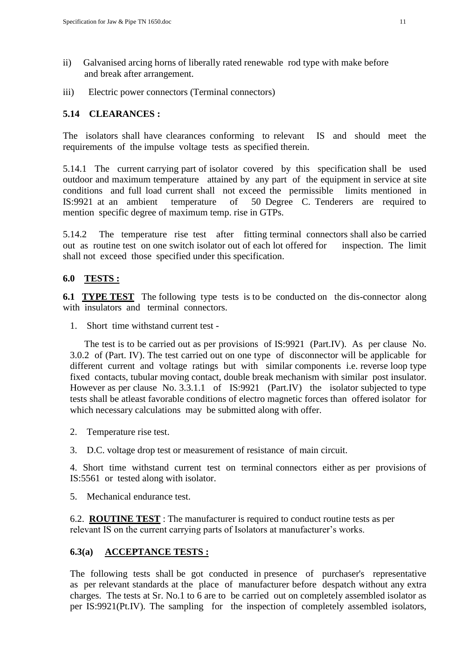- ii) Galvanised arcing horns of liberally rated renewable rod type with make before and break after arrangement.
- iii) Electric power connectors (Terminal connectors)

# **5.14 CLEARANCES :**

The isolators shall have clearances conforming to relevant IS and should meet the requirements of the impulse voltage tests as specified therein.

5.14.1 The current carrying part of isolator covered by this specification shall be used outdoor and maximum temperature attained by any part of the equipment in service at site conditions and full load current shall not exceed the permissible limits mentioned in IS:9921 at an ambient temperature of 50 Degree C. Tenderers are required to mention specific degree of maximum temp. rise in GTPs.

5.14.2 The temperature rise test after fitting terminal connectors shall also be carried out as routine test on one switch isolator out of each lot offered for inspection. The limit shall not exceed those specified under this specification.

### **6.0 TESTS :**

**6.1 TYPE TEST** The following type tests is to be conducted on the dis-connector along with insulators and terminal connectors.

1. Short time withstand current test -

 The test is to be carried out as per provisions of IS:9921 (Part.IV). As per clause No. 3.0.2 of (Part. IV). The test carried out on one type of disconnector will be applicable for different current and voltage ratings but with similar components i.e. reverse loop type fixed contacts, tubular moving contact, double break mechanism with similar post insulator. However as per clause No. 3.3.1.1 of IS:9921 (Part.IV) the isolator subjected to type tests shall be atleast favorable conditions of electro magnetic forces than offered isolator for which necessary calculations may be submitted along with offer.

- 2. Temperature rise test.
- 3. D.C. voltage drop test or measurement of resistance of main circuit.

4. Short time withstand current test on terminal connectors either as per provisions of IS:5561 or tested along with isolator.

5. Mechanical endurance test.

6.2. **ROUTINE TEST** : The manufacturer is required to conduct routine tests as per relevant IS on the current carrying parts of Isolators at manufacturer's works.

# **6.3(a) ACCEPTANCE TESTS :**

The following tests shall be got conducted in presence of purchaser's representative as per relevant standards at the place of manufacturer before despatch without any extra charges. The tests at Sr. No.1 to 6 are to be carried out on completely assembled isolator as per IS:9921(Pt.IV). The sampling for the inspection of completely assembled isolators,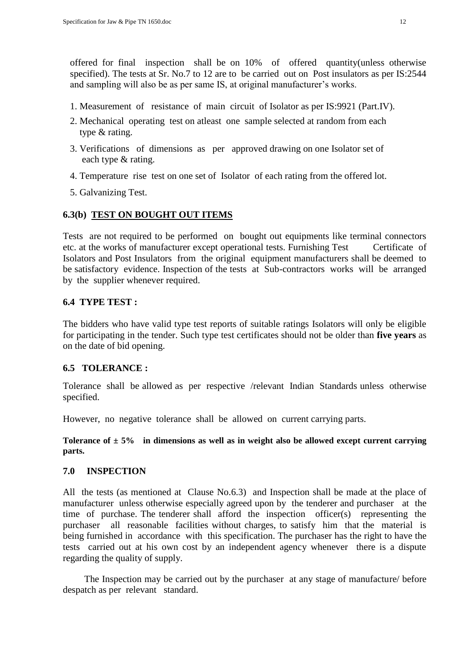offered for final inspection shall be on 10% of offered quantity(unless otherwise specified). The tests at Sr. No.7 to 12 are to be carried out on Post insulators as per IS:2544 and sampling will also be as per same IS, at original manufacturer's works.

- 1. Measurement of resistance of main circuit of Isolator as per IS:9921 (Part.IV).
- 2. Mechanical operating test on atleast one sample selected at random from each type & rating.
- 3. Verifications of dimensions as per approved drawing on one Isolator set of each type & rating.
- 4. Temperature rise test on one set of Isolator of each rating from the offered lot.
- 5. Galvanizing Test.

# **6.3(b) TEST ON BOUGHT OUT ITEMS**

Tests are not required to be performed on bought out equipments like terminal connectors etc. at the works of manufacturer except operational tests. Furnishing Test Certificate of Isolators and Post Insulators from the original equipment manufacturers shall be deemed to be satisfactory evidence. Inspection of the tests at Sub-contractors works will be arranged by the supplier whenever required.

# **6.4 TYPE TEST :**

The bidders who have valid type test reports of suitable ratings Isolators will only be eligible for participating in the tender. Such type test certificates should not be older than **five years** as on the date of bid opening.

### **6.5 TOLERANCE :**

Tolerance shall be allowed as per respective /relevant Indian Standards unless otherwise specified.

However, no negative tolerance shall be allowed on current carrying parts.

Tolerance of  $\pm$  5% in dimensions as well as in weight also be allowed except current carrying **parts.**

### **7.0 INSPECTION**

All the tests (as mentioned at Clause No.6.3) and Inspection shall be made at the place of manufacturer unless otherwise especially agreed upon by the tenderer and purchaser at the time of purchase. The tenderer shall afford the inspection officer(s) representing the purchaser all reasonable facilities without charges, to satisfy him that the material is being furnished in accordance with this specification. The purchaser has the right to have the tests carried out at his own cost by an independent agency whenever there is a dispute regarding the quality of supply.

 The Inspection may be carried out by the purchaser at any stage of manufacture/ before despatch as per relevant standard.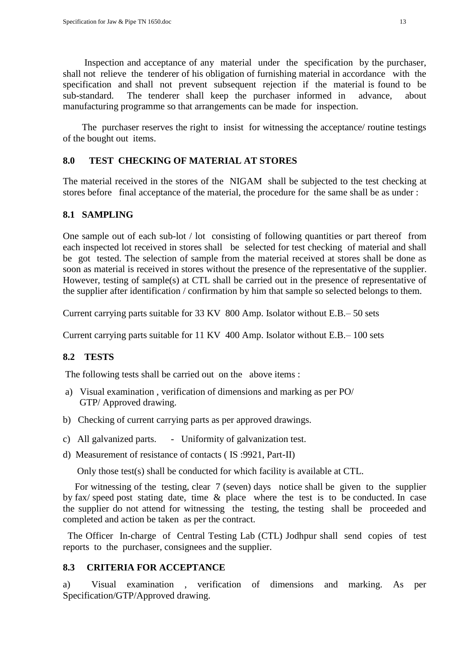Inspection and acceptance of any material under the specification by the purchaser, shall not relieve the tenderer of his obligation of furnishing material in accordance with the specification and shall not prevent subsequent rejection if the material is found to be sub-standard. The tenderer shall keep the purchaser informed in advance, about manufacturing programme so that arrangements can be made for inspection.

 The purchaser reserves the right to insist for witnessing the acceptance/ routine testings of the bought out items.

# **8.0 TEST CHECKING OF MATERIAL AT STORES**

The material received in the stores of the NIGAM shall be subjected to the test checking at stores before final acceptance of the material, the procedure for the same shall be as under :

# **8.1 SAMPLING**

One sample out of each sub-lot / lot consisting of following quantities or part thereof from each inspected lot received in stores shall be selected for test checking of material and shall be got tested. The selection of sample from the material received at stores shall be done as soon as material is received in stores without the presence of the representative of the supplier. However, testing of sample(s) at CTL shall be carried out in the presence of representative of the supplier after identification / confirmation by him that sample so selected belongs to them.

Current carrying parts suitable for 33 KV 800 Amp. Isolator without E.B.– 50 sets

Current carrying parts suitable for 11 KV 400 Amp. Isolator without E.B.– 100 sets

### **8.2 TESTS**

The following tests shall be carried out on the above items :

- a) Visual examination , verification of dimensions and marking as per PO/ GTP/ Approved drawing.
- b) Checking of current carrying parts as per approved drawings.
- c) All galvanized parts. Uniformity of galvanization test.
- d) Measurement of resistance of contacts ( IS :9921, Part-II)

Only those test(s) shall be conducted for which facility is available at CTL.

 For witnessing of the testing, clear 7 (seven) days notice shall be given to the supplier by fax/ speed post stating date, time & place where the test is to be conducted. In case the supplier do not attend for witnessing the testing, the testing shall be proceeded and completed and action be taken as per the contract.

 The Officer In-charge of Central Testing Lab (CTL) Jodhpur shall send copies of test reports to the purchaser, consignees and the supplier.

### **8.3 CRITERIA FOR ACCEPTANCE**

a) Visual examination , verification of dimensions and marking. As per Specification/GTP/Approved drawing.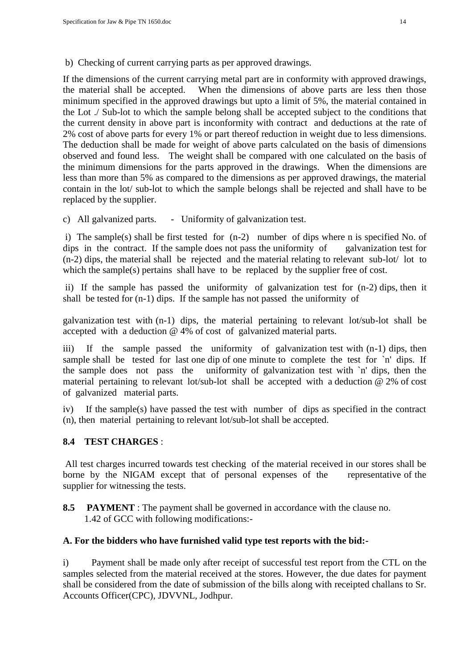b) Checking of current carrying parts as per approved drawings.

If the dimensions of the current carrying metal part are in conformity with approved drawings, the material shall be accepted. When the dimensions of above parts are less then those minimum specified in the approved drawings but upto a limit of 5%, the material contained in the Lot ./ Sub-lot to which the sample belong shall be accepted subject to the conditions that the current density in above part is inconformity with contract and deductions at the rate of 2% cost of above parts for every 1% or part thereof reduction in weight due to less dimensions. The deduction shall be made for weight of above parts calculated on the basis of dimensions observed and found less. The weight shall be compared with one calculated on the basis of the minimum dimensions for the parts approved in the drawings. When the dimensions are less than more than 5% as compared to the dimensions as per approved drawings, the material contain in the lot/ sub-lot to which the sample belongs shall be rejected and shall have to be replaced by the supplier.

c) All galvanized parts. - Uniformity of galvanization test.

i) The sample(s) shall be first tested for (n-2) number of dips where n is specified No. of dips in the contract. If the sample does not pass the uniformity of galvanization test for (n-2) dips, the material shall be rejected and the material relating to relevant sub-lot/ lot to which the sample(s) pertains shall have to be replaced by the supplier free of cost.

ii) If the sample has passed the uniformity of galvanization test for (n-2) dips, then it shall be tested for (n-1) dips. If the sample has not passed the uniformity of

galvanization test with (n-1) dips, the material pertaining to relevant lot/sub-lot shall be accepted with a deduction @ 4% of cost of galvanized material parts.

iii) If the sample passed the uniformity of galvanization test with (n-1) dips, then sample shall be tested for last one dip of one minute to complete the test for `n' dips. If the sample does not pass the uniformity of galvanization test with `n' dips, then the material pertaining to relevant lot/sub-lot shall be accepted with a deduction @ 2% of cost of galvanized material parts.

iv) If the sample(s) have passed the test with number of dips as specified in the contract (n), then material pertaining to relevant lot/sub-lot shall be accepted.

# **8.4 TEST CHARGES** :

All test charges incurred towards test checking of the material received in our stores shall be borne by the NIGAM except that of personal expenses of the representative of the supplier for witnessing the tests.

**8.5 PAYMENT** : The payment shall be governed in accordance with the clause no. 1.42 of GCC with following modifications:-

# **A. For the bidders who have furnished valid type test reports with the bid:-**

i) Payment shall be made only after receipt of successful test report from the CTL on the samples selected from the material received at the stores. However, the due dates for payment shall be considered from the date of submission of the bills along with receipted challans to Sr. Accounts Officer(CPC), JDVVNL, Jodhpur.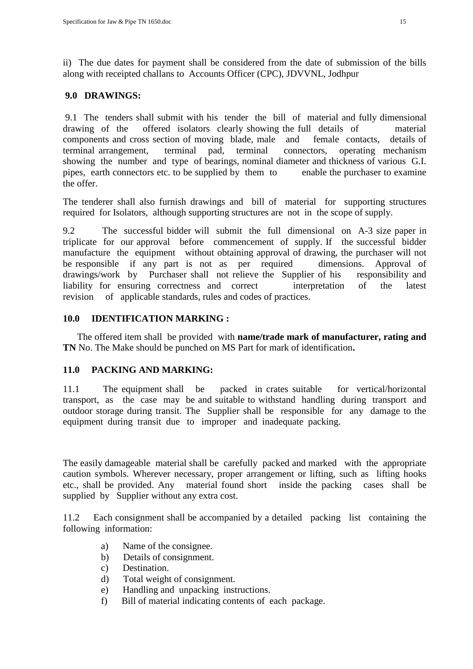ii) The due dates for payment shall be considered from the date of submission of the bills along with receipted challans to Accounts Officer (CPC), JDVVNL, Jodhpur

### **9.0 DRAWINGS:**

9.1 The tenders shall submit with his tender the bill of material and fully dimensional drawing of the offered isolators clearly showing the full details of material components and cross section of moving blade, male and female contacts, details of terminal arrangement, terminal pad, terminal connectors, operating mechanism showing the number and type of bearings, nominal diameter and thickness of various G.I. pipes, earth connectors etc. to be supplied by them to enable the purchaser to examine the offer.

The tenderer shall also furnish drawings and bill of material for supporting structures required for Isolators, although supporting structures are not in the scope of supply.

9.2 The successful bidder will submit the full dimensional on A-3 size paper in triplicate for our approval before commencement of supply. If the successful bidder manufacture the equipment without obtaining approval of drawing, the purchaser will not be responsible if any part is not as per required dimensions. Approval of drawings/work by Purchaser shall not relieve the Supplier of his responsibility and liability for ensuring correctness and correct interpretation of the latest revision of applicable standards, rules and codes of practices.

# **10.0 IDENTIFICATION MARKING :**

 The offered item shall be provided with **name/trade mark of manufacturer, rating and TN** No. The Make should be punched on MS Part for mark of identification**.** 

### **11.0 PACKING AND MARKING:**

11.1 The equipment shall be packed in crates suitable for vertical/horizontal transport, as the case may be and suitable to withstand handling during transport and outdoor storage during transit. The Supplier shall be responsible for any damage to the equipment during transit due to improper and inadequate packing.

The easily damageable material shall be carefully packed and marked with the appropriate caution symbols. Wherever necessary, proper arrangement or lifting, such as lifting hooks etc., shall be provided. Any material found short inside the packing cases shall be supplied by Supplier without any extra cost.

11.2 Each consignment shall be accompanied by a detailed packing list containing the following information:

- a) Name of the consignee.
- b) Details of consignment.
- c) Destination.
- d) Total weight of consignment.
- e) Handling and unpacking instructions.
- f) Bill of material indicating contents of each package.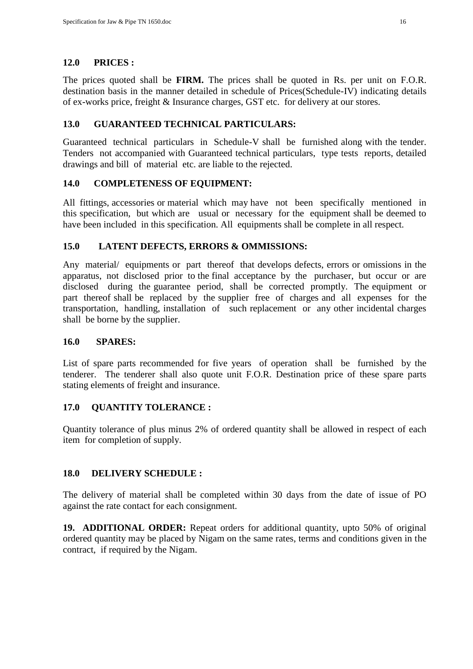# **12.0 PRICES :**

The prices quoted shall be **FIRM.** The prices shall be quoted in Rs. per unit on F.O.R. destination basis in the manner detailed in schedule of Prices(Schedule-IV) indicating details of ex-works price, freight & Insurance charges, GST etc. for delivery at our stores.

# **13.0 GUARANTEED TECHNICAL PARTICULARS:**

Guaranteed technical particulars in Schedule-V shall be furnished along with the tender. Tenders not accompanied with Guaranteed technical particulars, type tests reports, detailed drawings and bill of material etc. are liable to the rejected.

# **14.0 COMPLETENESS OF EQUIPMENT:**

All fittings, accessories or material which may have not been specifically mentioned in this specification, but which are usual or necessary for the equipment shall be deemed to have been included in this specification. All equipments shall be complete in all respect.

# **15.0 LATENT DEFECTS, ERRORS & OMMISSIONS:**

Any material/ equipments or part thereof that develops defects, errors or omissions in the apparatus, not disclosed prior to the final acceptance by the purchaser, but occur or are disclosed during the guarantee period, shall be corrected promptly. The equipment or part thereof shall be replaced by the supplier free of charges and all expenses for the transportation, handling, installation of such replacement or any other incidental charges shall be borne by the supplier.

### **16.0 SPARES:**

List of spare parts recommended for five years of operation shall be furnished by the tenderer. The tenderer shall also quote unit F.O.R. Destination price of these spare parts stating elements of freight and insurance.

### **17.0 QUANTITY TOLERANCE :**

Quantity tolerance of plus minus 2% of ordered quantity shall be allowed in respect of each item for completion of supply.

# **18.0 DELIVERY SCHEDULE :**

The delivery of material shall be completed within 30 days from the date of issue of PO against the rate contact for each consignment.

**19. ADDITIONAL ORDER:** Repeat orders for additional quantity, upto 50% of original ordered quantity may be placed by Nigam on the same rates, terms and conditions given in the contract, if required by the Nigam.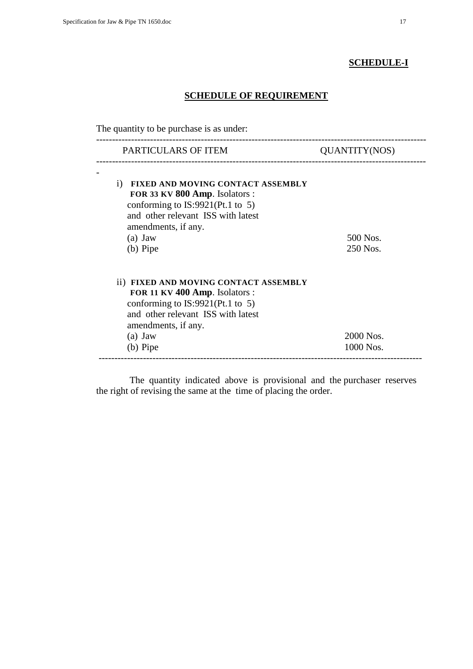# **SCHEDULE-I**

# **SCHEDULE OF REQUIREMENT**

The quantity to be purchase is as under:

| PARTICULARS OF ITEM                                                           | <b>QUANTITY(NOS)</b> |
|-------------------------------------------------------------------------------|----------------------|
| FIXED AND MOVING CONTACT ASSEMBLY<br>$\rm i)$                                 |                      |
| FOR 33 KV 800 Amp. Isolators :<br>conforming to $IS:9921(Pt.1 \text{ to } 5)$ |                      |
| and other relevant ISS with latest                                            |                      |
| amendments, if any.                                                           |                      |
| $(a)$ Jaw                                                                     | 500 Nos.             |
| (b) Pipe                                                                      | 250 Nos.             |
| ii) FIXED AND MOVING CONTACT ASSEMBLY                                         |                      |
| FOR 11 KV 400 Amp. Isolators :                                                |                      |
| conforming to $IS:9921(Pt.1 \text{ to } 5)$                                   |                      |
| and other relevant ISS with latest                                            |                      |
| amendments, if any.                                                           |                      |
| $(a)$ Jaw                                                                     | 2000 Nos.            |
| (b) Pipe                                                                      | 1000 Nos.            |

 The quantity indicated above is provisional and the purchaser reserves the right of revising the same at the time of placing the order.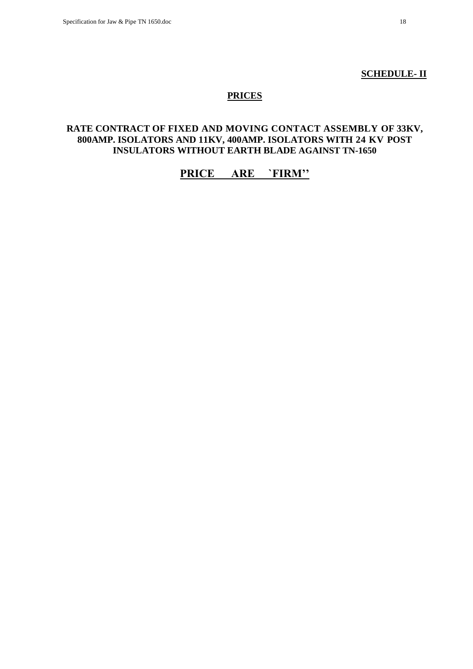#### **SCHEDULE- II**

# **PRICES**

# **RATE CONTRACT OF FIXED AND MOVING CONTACT ASSEMBLY OF 33KV, 800AMP. ISOLATORS AND 11KV, 400AMP. ISOLATORS WITH 24 KV POST INSULATORS WITHOUT EARTH BLADE AGAINST TN-1650**

# **PRICE ARE `FIRM''**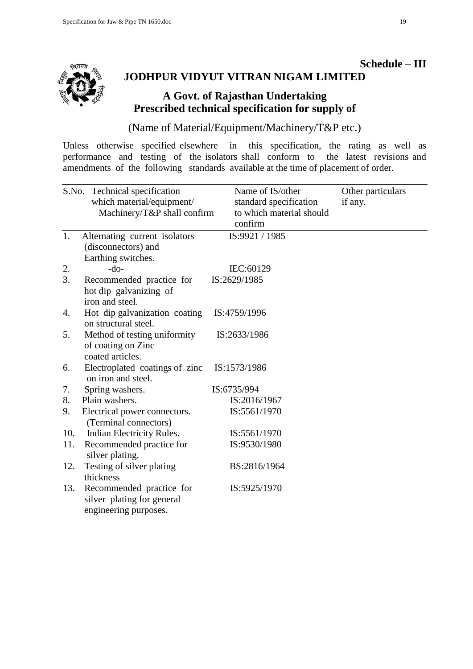

# **Schedule – III JODHPUR VIDYUT VITRAN NIGAM LIMITED**

# **A Govt. of Rajasthan Undertaking Prescribed technical specification for supply of**

(Name of Material/Equipment/Machinery/T&P etc.)

Unless otherwise specified elsewhere in this specification, the rating as well as performance and testing of the isolators shall conform to the latest revisions and amendments of the following standards available at the time of placement of order.

|     | S.No. Technical specification<br>which material/equipment/<br>Machinery/T&P shall confirm | Name of IS/other<br>standard specification<br>to which material should<br>confirm | Other particulars<br>if any. |
|-----|-------------------------------------------------------------------------------------------|-----------------------------------------------------------------------------------|------------------------------|
| 1.  | Alternating current isolators<br>(disconnectors) and<br>Earthing switches.                | IS:9921 / 1985                                                                    |                              |
| 2.  | $-do-$                                                                                    | IEC:60129                                                                         |                              |
| 3.  | Recommended practice for<br>hot dip galvanizing of<br>iron and steel.                     | IS:2629/1985                                                                      |                              |
| 4.  | Hot dip galvanization coating<br>on structural steel.                                     | IS:4759/1996                                                                      |                              |
| 5.  | Method of testing uniformity<br>of coating on Zinc<br>coated articles.                    | IS:2633/1986                                                                      |                              |
| 6.  | Electroplated coatings of zinc<br>on iron and steel.                                      | IS:1573/1986                                                                      |                              |
| 7.  | Spring washers.                                                                           | IS:6735/994                                                                       |                              |
| 8.  | Plain washers.                                                                            | IS:2016/1967                                                                      |                              |
| 9.  | Electrical power connectors.<br>(Terminal connectors)                                     | IS:5561/1970                                                                      |                              |
| 10. | Indian Electricity Rules.                                                                 | IS:5561/1970                                                                      |                              |
| 11. | Recommended practice for<br>silver plating.                                               | IS:9530/1980                                                                      |                              |
| 12. | Testing of silver plating<br>thickness                                                    | BS:2816/1964                                                                      |                              |
| 13. | Recommended practice for<br>silver plating for general<br>engineering purposes.           | IS:5925/1970                                                                      |                              |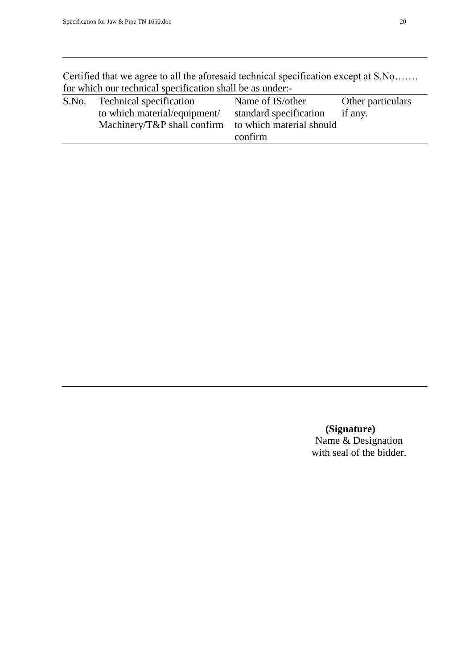Certified that we agree to all the aforesaid technical specification except at S.No……. for which our technical specification shall be as under:-

| S.No. | Technical specification                              | Name of IS/other       | Other particulars |
|-------|------------------------------------------------------|------------------------|-------------------|
|       | to which material/equipment/                         | standard specification | if any.           |
|       | Machinery/T&P shall confirm to which material should |                        |                   |
|       |                                                      | confirm                |                   |
|       |                                                      |                        |                   |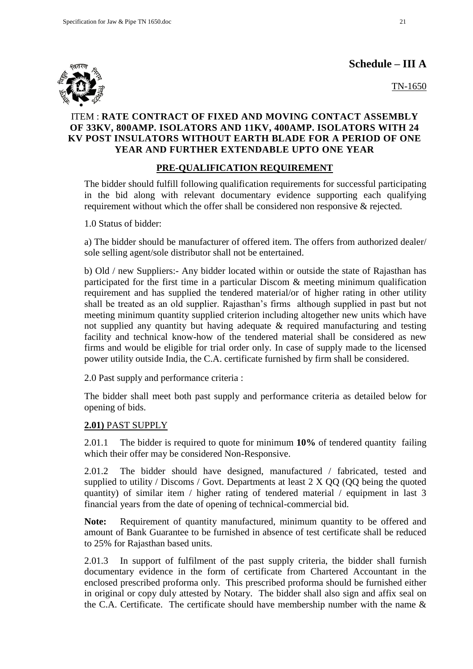**Schedule – III A**



TN-1650

# ITEM : **RATE CONTRACT OF FIXED AND MOVING CONTACT ASSEMBLY OF 33KV, 800AMP. ISOLATORS AND 11KV, 400AMP. ISOLATORS WITH 24 KV POST INSULATORS WITHOUT EARTH BLADE FOR A PERIOD OF ONE YEAR AND FURTHER EXTENDABLE UPTO ONE YEAR**

# **PRE-QUALIFICATION REQUIREMENT**

The bidder should fulfill following qualification requirements for successful participating in the bid along with relevant documentary evidence supporting each qualifying requirement without which the offer shall be considered non responsive & rejected.

1.0 Status of bidder:

a) The bidder should be manufacturer of offered item. The offers from authorized dealer/ sole selling agent/sole distributor shall not be entertained.

b) Old / new Suppliers:- Any bidder located within or outside the state of Rajasthan has participated for the first time in a particular Discom & meeting minimum qualification requirement and has supplied the tendered material/or of higher rating in other utility shall be treated as an old supplier. Rajasthan"s firms although supplied in past but not meeting minimum quantity supplied criterion including altogether new units which have not supplied any quantity but having adequate & required manufacturing and testing facility and technical know-how of the tendered material shall be considered as new firms and would be eligible for trial order only. In case of supply made to the licensed power utility outside India, the C.A. certificate furnished by firm shall be considered.

2.0 Past supply and performance criteria :

The bidder shall meet both past supply and performance criteria as detailed below for opening of bids.

# **2.01)** PAST SUPPLY

2.01.1 The bidder is required to quote for minimum **10%** of tendered quantity failing which their offer may be considered Non-Responsive.

2.01.2 The bidder should have designed, manufactured / fabricated, tested and supplied to utility / Discoms / Govt. Departments at least 2 X QQ (QQ being the quoted quantity) of similar item / higher rating of tendered material / equipment in last 3 financial years from the date of opening of technical-commercial bid.

**Note:** Requirement of quantity manufactured, minimum quantity to be offered and amount of Bank Guarantee to be furnished in absence of test certificate shall be reduced to 25% for Rajasthan based units.

2.01.3 In support of fulfilment of the past supply criteria, the bidder shall furnish documentary evidence in the form of certificate from Chartered Accountant in the enclosed prescribed proforma only. This prescribed proforma should be furnished either in original or copy duly attested by Notary. The bidder shall also sign and affix seal on the C.A. Certificate. The certificate should have membership number with the name  $\&$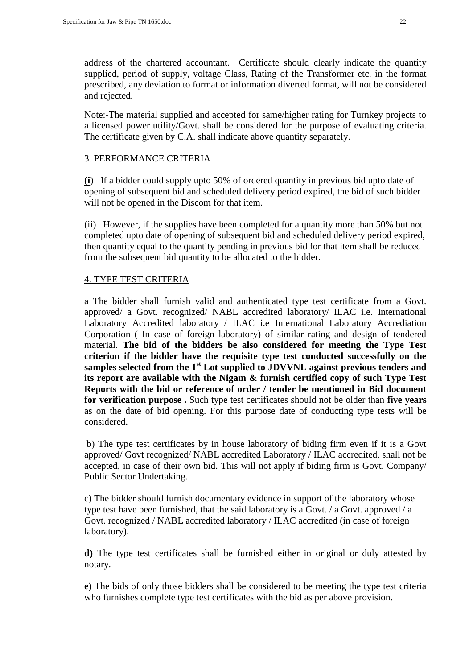address of the chartered accountant. Certificate should clearly indicate the quantity supplied, period of supply, voltage Class, Rating of the Transformer etc. in the format prescribed, any deviation to format or information diverted format, will not be considered and rejected.

Note:-The material supplied and accepted for same/higher rating for Turnkey projects to a licensed power utility/Govt. shall be considered for the purpose of evaluating criteria. The certificate given by C.A. shall indicate above quantity separately.

### 3. PERFORMANCE CRITERIA

**(i**) If a bidder could supply upto 50% of ordered quantity in previous bid upto date of opening of subsequent bid and scheduled delivery period expired, the bid of such bidder will not be opened in the Discom for that item.

(ii) However, if the supplies have been completed for a quantity more than 50% but not completed upto date of opening of subsequent bid and scheduled delivery period expired, then quantity equal to the quantity pending in previous bid for that item shall be reduced from the subsequent bid quantity to be allocated to the bidder.

# 4. TYPE TEST CRITERIA

a The bidder shall furnish valid and authenticated type test certificate from a Govt. approved/ a Govt. recognized/ NABL accredited laboratory/ ILAC i.e. International Laboratory Accredited laboratory / ILAC i.e International Laboratory Accrediation Corporation ( In case of foreign laboratory) of similar rating and design of tendered material. **The bid of the bidders be also considered for meeting the Type Test criterion if the bidder have the requisite type test conducted successfully on the samples selected from the 1st Lot supplied to JDVVNL against previous tenders and its report are available with the Nigam & furnish certified copy of such Type Test Reports with the bid or reference of order / tender be mentioned in Bid document for verification purpose .** Such type test certificates should not be older than **five years** as on the date of bid opening. For this purpose date of conducting type tests will be considered.

b) The type test certificates by in house laboratory of biding firm even if it is a Govt approved/ Govt recognized/ NABL accredited Laboratory / ILAC accredited, shall not be accepted, in case of their own bid. This will not apply if biding firm is Govt. Company/ Public Sector Undertaking.

c) The bidder should furnish documentary evidence in support of the laboratory whose type test have been furnished, that the said laboratory is a Govt. / a Govt. approved / a Govt. recognized / NABL accredited laboratory / ILAC accredited (in case of foreign laboratory).

**d)** The type test certificates shall be furnished either in original or duly attested by notary.

**e)** The bids of only those bidders shall be considered to be meeting the type test criteria who furnishes complete type test certificates with the bid as per above provision.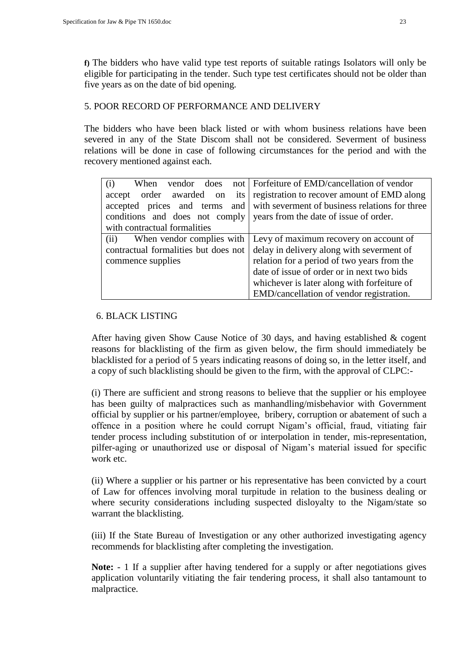**f)** The bidders who have valid type test reports of suitable ratings Isolators will only be eligible for participating in the tender. Such type test certificates should not be older than five years as on the date of bid opening.

# 5. POOR RECORD OF PERFORMANCE AND DELIVERY

The bidders who have been black listed or with whom business relations have been severed in any of the State Discom shall not be considered. Severment of business relations will be done in case of following circumstances for the period and with the recovery mentioned against each.

| (i)<br>When                          | vendor does not Forfeiture of EMD/cancellation of vendor                     |
|--------------------------------------|------------------------------------------------------------------------------|
|                                      | accept order awarded on its registration to recover amount of EMD along      |
|                                      | accepted prices and terms and with severment of business relations for three |
|                                      | conditions and does not comply vears from the date of issue of order.        |
| with contractual formalities         |                                                                              |
| (ii)                                 | When vendor complies with Levy of maximum recovery on account of             |
| contractual formalities but does not | delay in delivery along with severment of                                    |
| commence supplies                    | relation for a period of two years from the                                  |
|                                      | date of issue of order or in next two bids                                   |
|                                      | whichever is later along with forfeiture of                                  |
|                                      | EMD/cancellation of vendor registration.                                     |

# 6. BLACK LISTING

After having given Show Cause Notice of 30 days, and having established & cogent reasons for blacklisting of the firm as given below, the firm should immediately be blacklisted for a period of 5 years indicating reasons of doing so, in the letter itself, and a copy of such blacklisting should be given to the firm, with the approval of CLPC:-

(i) There are sufficient and strong reasons to believe that the supplier or his employee has been guilty of malpractices such as manhandling/misbehavior with Government official by supplier or his partner/employee, bribery, corruption or abatement of such a offence in a position where he could corrupt Nigam"s official, fraud, vitiating fair tender process including substitution of or interpolation in tender, mis-representation, pilfer-aging or unauthorized use or disposal of Nigam"s material issued for specific work etc.

(ii) Where a supplier or his partner or his representative has been convicted by a court of Law for offences involving moral turpitude in relation to the business dealing or where security considerations including suspected disloyalty to the Nigam/state so warrant the blacklisting.

(iii) If the State Bureau of Investigation or any other authorized investigating agency recommends for blacklisting after completing the investigation.

Note: - 1 If a supplier after having tendered for a supply or after negotiations gives application voluntarily vitiating the fair tendering process, it shall also tantamount to malpractice.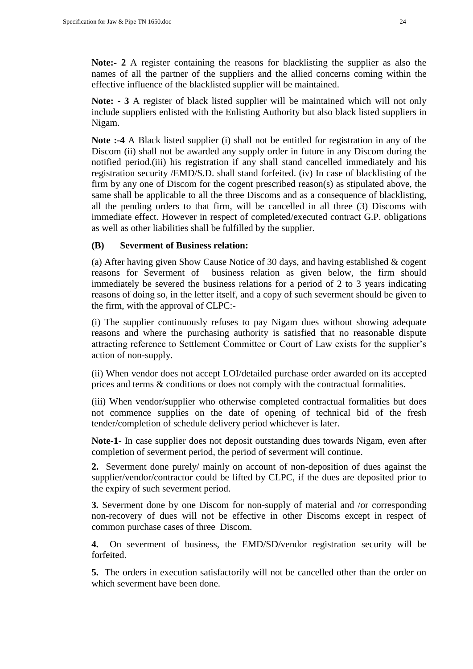**Note:- 2** A register containing the reasons for blacklisting the supplier as also the names of all the partner of the suppliers and the allied concerns coming within the effective influence of the blacklisted supplier will be maintained.

**Note: - 3** A register of black listed supplier will be maintained which will not only include suppliers enlisted with the Enlisting Authority but also black listed suppliers in Nigam.

**Note :-4** A Black listed supplier (i) shall not be entitled for registration in any of the Discom (ii) shall not be awarded any supply order in future in any Discom during the notified period.(iii) his registration if any shall stand cancelled immediately and his registration security /EMD/S.D. shall stand forfeited. (iv) In case of blacklisting of the firm by any one of Discom for the cogent prescribed reason(s) as stipulated above, the same shall be applicable to all the three Discoms and as a consequence of blacklisting, all the pending orders to that firm, will be cancelled in all three (3) Discoms with immediate effect. However in respect of completed/executed contract G.P. obligations as well as other liabilities shall be fulfilled by the supplier.

# **(B) Severment of Business relation:**

(a) After having given Show Cause Notice of 30 days, and having established & cogent reasons for Severment of business relation as given below, the firm should immediately be severed the business relations for a period of 2 to 3 years indicating reasons of doing so, in the letter itself, and a copy of such severment should be given to the firm, with the approval of CLPC:-

(i) The supplier continuously refuses to pay Nigam dues without showing adequate reasons and where the purchasing authority is satisfied that no reasonable dispute attracting reference to Settlement Committee or Court of Law exists for the supplier"s action of non-supply.

(ii) When vendor does not accept LOI/detailed purchase order awarded on its accepted prices and terms & conditions or does not comply with the contractual formalities.

(iii) When vendor/supplier who otherwise completed contractual formalities but does not commence supplies on the date of opening of technical bid of the fresh tender/completion of schedule delivery period whichever is later.

**Note-1**- In case supplier does not deposit outstanding dues towards Nigam, even after completion of severment period, the period of severment will continue.

**2.** Severment done purely/ mainly on account of non-deposition of dues against the supplier/vendor/contractor could be lifted by CLPC, if the dues are deposited prior to the expiry of such severment period.

**3.** Severment done by one Discom for non-supply of material and /or corresponding non-recovery of dues will not be effective in other Discoms except in respect of common purchase cases of three Discom.

**4.** On severment of business, the EMD/SD/vendor registration security will be forfeited.

**5.** The orders in execution satisfactorily will not be cancelled other than the order on which severment have been done.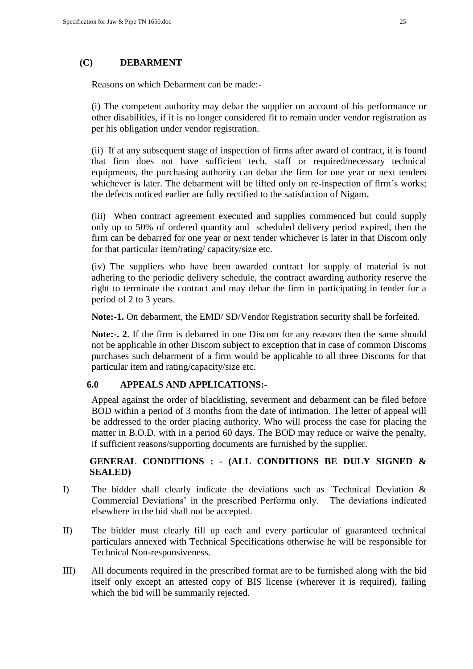#### **(C) DEBARMENT**

Reasons on which Debarment can be made:-

(i) The competent authority may debar the supplier on account of his performance or other disabilities, if it is no longer considered fit to remain under vendor registration as per his obligation under vendor registration.

(ii) If at any subsequent stage of inspection of firms after award of contract, it is found that firm does not have sufficient tech. staff or required/necessary technical equipments, the purchasing authority can debar the firm for one year or next tenders whichever is later. The debarment will be lifted only on re-inspection of firm's works; the defects noticed earlier are fully rectified to the satisfaction of Nigam**.** 

(iii) When contract agreement executed and supplies commenced but could supply only up to 50% of ordered quantity and scheduled delivery period expired, then the firm can be debarred for one year or next tender whichever is later in that Discom only for that particular item/rating/ capacity/size etc.

(iv) The suppliers who have been awarded contract for supply of material is not adhering to the periodic delivery schedule, the contract awarding authority reserve the right to terminate the contract and may debar the firm in participating in tender for a period of 2 to 3 years.

**Note:-1.** On debarment, the EMD/ SD/Vendor Registration security shall be forfeited.

**Note:-. 2**. If the firm is debarred in one Discom for any reasons then the same should not be applicable in other Discom subject to exception that in case of common Discoms purchases such debarment of a firm would be applicable to all three Discoms for that particular item and rating/capacity/size etc.

#### **6.0 APPEALS AND APPLICATIONS:-**

Appeal against the order of blacklisting, severment and debarment can be filed before BOD within a period of 3 months from the date of intimation. The letter of appeal will be addressed to the order placing authority. Who will process the case for placing the matter in B.O.D. with in a period 60 days. The BOD may reduce or waive the penalty, if sufficient reasons/supporting documents are furnished by the supplier.

# **GENERAL CONDITIONS : - (ALL CONDITIONS BE DULY SIGNED & SEALED)**

- I) The bidder shall clearly indicate the deviations such as `Technical Deviation & Commercial Deviations" in the prescribed Performa only. The deviations indicated elsewhere in the bid shall not be accepted.
- II) The bidder must clearly fill up each and every particular of guaranteed technical particulars annexed with Technical Specifications otherwise he will be responsible for Technical Non-responsiveness.
- III) All documents required in the prescribed format are to be furnished along with the bid itself only except an attested copy of BIS license (wherever it is required), failing which the bid will be summarily rejected.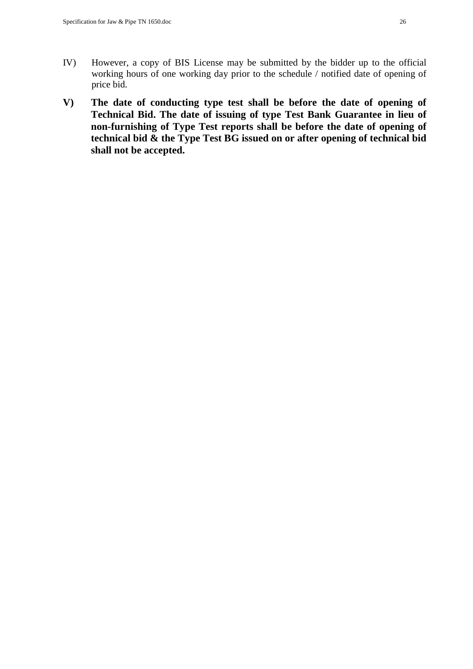- IV) However, a copy of BIS License may be submitted by the bidder up to the official working hours of one working day prior to the schedule / notified date of opening of price bid.
- **V) The date of conducting type test shall be before the date of opening of Technical Bid. The date of issuing of type Test Bank Guarantee in lieu of non-furnishing of Type Test reports shall be before the date of opening of technical bid & the Type Test BG issued on or after opening of technical bid shall not be accepted.**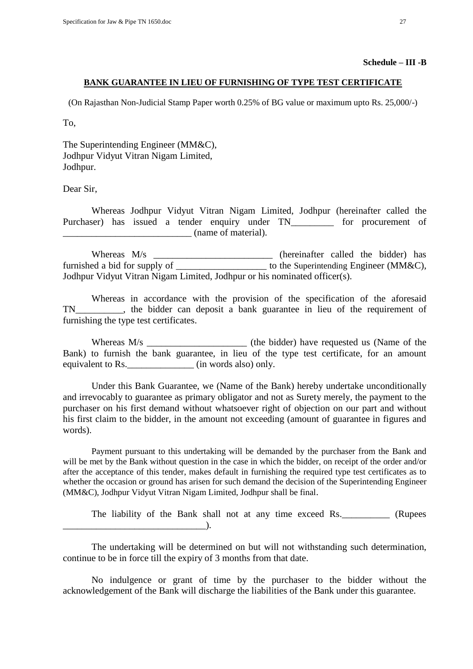#### **Schedule – III -B**

#### **BANK GUARANTEE IN LIEU OF FURNISHING OF TYPE TEST CERTIFICATE**

(On Rajasthan Non-Judicial Stamp Paper worth 0.25% of BG value or maximum upto Rs. 25,000/-)

To,

The Superintending Engineer (MM&C), Jodhpur Vidyut Vitran Nigam Limited, Jodhpur.

Dear Sir,

Whereas Jodhpur Vidyut Vitran Nigam Limited, Jodhpur (hereinafter called the Purchaser) has issued a tender enquiry under TN for procurement of \_\_\_\_\_\_\_\_\_\_\_\_\_\_\_\_\_\_\_\_\_\_\_\_\_\_\_ (name of material).

Whereas M/s \_\_\_\_\_\_\_\_\_\_\_\_\_\_\_\_\_\_\_\_\_\_\_\_\_\_\_\_ (hereinafter called the bidder) has furnished a bid for supply of  $\qquad \qquad$  to the Superintending Engineer (MM&C), Jodhpur Vidyut Vitran Nigam Limited, Jodhpur or his nominated officer(s).

Whereas in accordance with the provision of the specification of the aforesaid TN\_\_\_\_\_\_\_\_\_\_, the bidder can deposit a bank guarantee in lieu of the requirement of furnishing the type test certificates.

Whereas M/s \_\_\_\_\_\_\_\_\_\_\_\_\_\_\_\_\_\_\_\_\_\_\_\_\_ (the bidder) have requested us (Name of the Bank) to furnish the bank guarantee, in lieu of the type test certificate, for an amount equivalent to Rs. \_\_\_\_\_\_\_\_\_\_\_\_\_\_\_\_\_ (in words also) only.

Under this Bank Guarantee, we (Name of the Bank) hereby undertake unconditionally and irrevocably to guarantee as primary obligator and not as Surety merely, the payment to the purchaser on his first demand without whatsoever right of objection on our part and without his first claim to the bidder, in the amount not exceeding (amount of guarantee in figures and words).

Payment pursuant to this undertaking will be demanded by the purchaser from the Bank and will be met by the Bank without question in the case in which the bidder, on receipt of the order and/or after the acceptance of this tender, makes default in furnishing the required type test certificates as to whether the occasion or ground has arisen for such demand the decision of the Superintending Engineer (MM&C), Jodhpur Vidyut Vitran Nigam Limited, Jodhpur shall be final.

The liability of the Bank shall not at any time exceed Rs. (Rupees  $\qquad$ .

The undertaking will be determined on but will not withstanding such determination, continue to be in force till the expiry of 3 months from that date.

No indulgence or grant of time by the purchaser to the bidder without the acknowledgement of the Bank will discharge the liabilities of the Bank under this guarantee.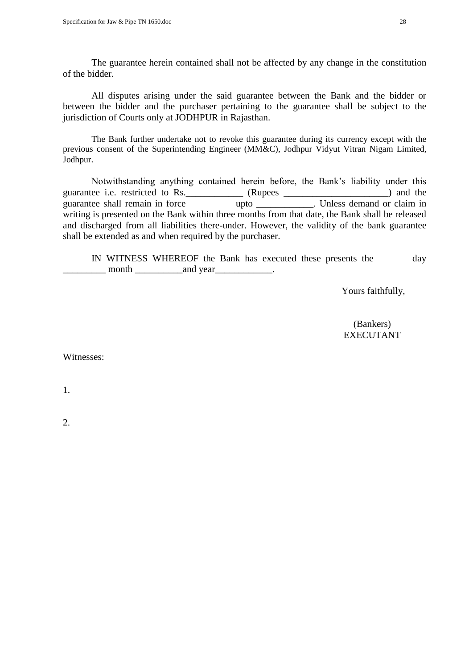The guarantee herein contained shall not be affected by any change in the constitution of the bidder.

All disputes arising under the said guarantee between the Bank and the bidder or between the bidder and the purchaser pertaining to the guarantee shall be subject to the jurisdiction of Courts only at JODHPUR in Rajasthan.

The Bank further undertake not to revoke this guarantee during its currency except with the previous consent of the Superintending Engineer (MM&C), Jodhpur Vidyut Vitran Nigam Limited, Jodhpur.

Notwithstanding anything contained herein before, the Bank's liability under this is i.e. restricted to Rs. (Rupees ) and the guarantee i.e. restricted to Rs. \_\_\_\_\_\_\_\_\_\_\_\_\_ (Rupees \_\_\_\_\_\_\_\_\_\_\_\_\_\_\_\_\_\_\_\_\_\_\_\_\_\_ guarantee shall remain in force upto \_\_\_\_\_\_\_\_\_\_\_\_. Unless demand or claim in writing is presented on the Bank within three months from that date, the Bank shall be released and discharged from all liabilities there-under. However, the validity of the bank guarantee shall be extended as and when required by the purchaser.

IN WITNESS WHEREOF the Bank has executed these presents the day example in the month  $\Box$  and year  $\Box$ 

Yours faithfully,

 (Bankers) EXECUTANT

Witnesses:

1.

2.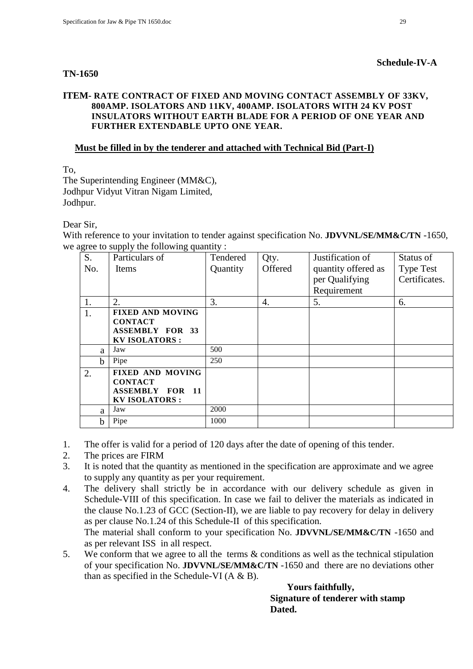#### **TN-1650**

### **Schedule-IV-A**

#### **ITEM- RATE CONTRACT OF FIXED AND MOVING CONTACT ASSEMBLY OF 33KV, 800AMP. ISOLATORS AND 11KV, 400AMP. ISOLATORS WITH 24 KV POST INSULATORS WITHOUT EARTH BLADE FOR A PERIOD OF ONE YEAR AND FURTHER EXTENDABLE UPTO ONE YEAR.**

# **Must be filled in by the tenderer and attached with Technical Bid (Part-I)**

To,

The Superintending Engineer (MM&C), Jodhpur Vidyut Vitran Nigam Limited, Jodhpur.

# Dear Sir,

With reference to your invitation to tender against specification No. **JDVVNL/SE/MM&C/TN** -1650, we agree to supply the following quantity :

| $\circ$<br>S. | r r <i>J</i> .<br>01<br>Particulars of | Tendered | Qty.             | Justification of    | Status of        |
|---------------|----------------------------------------|----------|------------------|---------------------|------------------|
| No.           | <b>Items</b>                           | Quantity | Offered          | quantity offered as | <b>Type Test</b> |
|               |                                        |          |                  | per Qualifying      | Certificates.    |
|               |                                        |          |                  | Requirement         |                  |
| 1.            | 2.                                     | 3.       | $\overline{4}$ . | 5.                  | 6.               |
| 1.            | <b>FIXED AND MOVING</b>                |          |                  |                     |                  |
|               | <b>CONTACT</b>                         |          |                  |                     |                  |
|               | <b>ASSEMBLY FOR 33</b>                 |          |                  |                     |                  |
|               | <b>KV ISOLATORS:</b>                   |          |                  |                     |                  |
| a             | Jaw                                    | 500      |                  |                     |                  |
| h.            | Pipe                                   | 250      |                  |                     |                  |
| 2.            | <b>FIXED AND MOVING</b>                |          |                  |                     |                  |
|               | <b>CONTACT</b>                         |          |                  |                     |                  |
|               | <b>ASSEMBLY FOR 11</b>                 |          |                  |                     |                  |
|               | <b>KV ISOLATORS:</b>                   |          |                  |                     |                  |
| a             | Jaw                                    | 2000     |                  |                     |                  |
| h             | Pipe                                   | 1000     |                  |                     |                  |

- 1. The offer is valid for a period of 120 days after the date of opening of this tender.
- 2. The prices are FIRM
- 3. It is noted that the quantity as mentioned in the specification are approximate and we agree to supply any quantity as per your requirement.
- 4. The delivery shall strictly be in accordance with our delivery schedule as given in Schedule-VIII of this specification. In case we fail to deliver the materials as indicated in the clause No.1.23 of GCC (Section-II), we are liable to pay recovery for delay in delivery as per clause No.1.24 of this Schedule-II of this specification. The material shall conform to your specification No. **JDVVNL/SE/MM&C/TN** -1650 and as per relevant ISS in all respect.
- 5. We conform that we agree to all the terms & conditions as well as the technical stipulation of your specification No. **JDVVNL/SE/MM&C/TN** -1650 and there are no deviations other than as specified in the Schedule-VI  $(A \& B)$ .

 **Yours faithfully,** 

 **Signature of tenderer with stamp Dated.**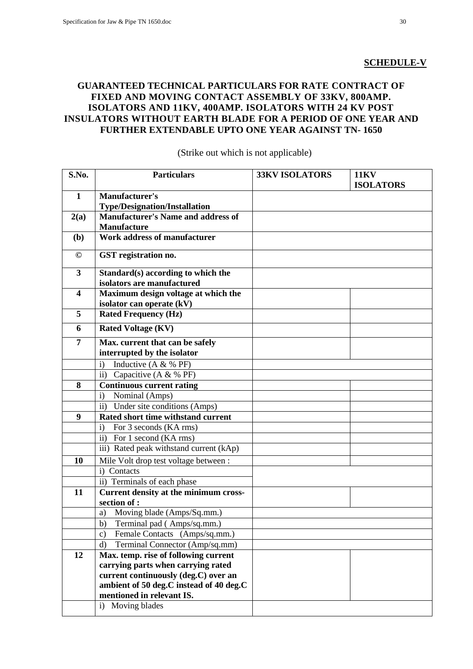# **SCHEDULE-V**

# **GUARANTEED TECHNICAL PARTICULARS FOR RATE CONTRACT OF FIXED AND MOVING CONTACT ASSEMBLY OF 33KV, 800AMP. ISOLATORS AND 11KV, 400AMP. ISOLATORS WITH 24 KV POST INSULATORS WITHOUT EARTH BLADE FOR A PERIOD OF ONE YEAR AND FURTHER EXTENDABLE UPTO ONE YEAR AGAINST TN- 1650**

| S.No.                   | <b>Particulars</b>                                                                | <b>33KV ISOLATORS</b> | <b>11KV</b><br><b>ISOLATORS</b> |
|-------------------------|-----------------------------------------------------------------------------------|-----------------------|---------------------------------|
| $\mathbf{1}$            | <b>Manufacturer's</b>                                                             |                       |                                 |
|                         | <b>Type/Designation/Installation</b><br><b>Manufacturer's Name and address of</b> |                       |                                 |
| 2(a)                    | <b>Manufacture</b>                                                                |                       |                                 |
| (b)                     | <b>Work address of manufacturer</b>                                               |                       |                                 |
| $^\copyright$           | GST registration no.                                                              |                       |                                 |
| $\mathbf{3}$            | Standard(s) according to which the<br>isolators are manufactured                  |                       |                                 |
| $\overline{\mathbf{4}}$ | Maximum design voltage at which the                                               |                       |                                 |
|                         | isolator can operate (kV)                                                         |                       |                                 |
| 5                       | <b>Rated Frequency (Hz)</b>                                                       |                       |                                 |
| 6                       | <b>Rated Voltage (KV)</b>                                                         |                       |                                 |
| $\overline{7}$          | Max. current that can be safely                                                   |                       |                                 |
|                         | interrupted by the isolator                                                       |                       |                                 |
|                         | Inductive (A & % PF)<br>$\mathbf{i}$                                              |                       |                                 |
|                         | ii) Capacitive (A & % PF)                                                         |                       |                                 |
| 8                       | <b>Continuous current rating</b>                                                  |                       |                                 |
|                         | Nominal (Amps)<br>$\mathbf{i}$                                                    |                       |                                 |
|                         | Under site conditions (Amps)<br>$\mathbf{ii}$                                     |                       |                                 |
| 9                       | Rated short time withstand current                                                |                       |                                 |
|                         | For 3 seconds (KA rms)<br>$\mathbf{i}$                                            |                       |                                 |
|                         | ii) For 1 second (KA rms)                                                         |                       |                                 |
|                         | iii) Rated peak withstand current (kAp)                                           |                       |                                 |
| 10                      | Mile Volt drop test voltage between :                                             |                       |                                 |
|                         | i) Contacts                                                                       |                       |                                 |
|                         | ii) Terminals of each phase                                                       |                       |                                 |
| 11                      | Current density at the minimum cross-<br>section of :                             |                       |                                 |
|                         | Moving blade (Amps/Sq.mm.)<br>a)                                                  |                       |                                 |
|                         | Terminal pad (Amps/sq.mm.)<br>b)                                                  |                       |                                 |
|                         | Female Contacts (Amps/sq.mm.)<br>$\mathbf{c})$                                    |                       |                                 |
|                         | Terminal Connector (Amp/sq.mm)<br>$\rm d$                                         |                       |                                 |
| 12                      | Max. temp. rise of following current                                              |                       |                                 |
|                         | carrying parts when carrying rated                                                |                       |                                 |
|                         | current continuously (deg.C) over an                                              |                       |                                 |
|                         | ambient of 50 deg.C instead of 40 deg.C                                           |                       |                                 |
|                         | mentioned in relevant IS.                                                         |                       |                                 |
|                         | Moving blades<br>i)                                                               |                       |                                 |

(Strike out which is not applicable)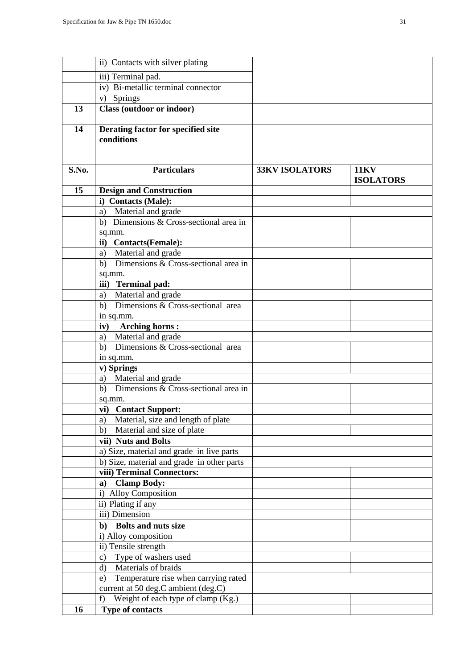|       | ii) Contacts with silver plating                 |                       |                                 |
|-------|--------------------------------------------------|-----------------------|---------------------------------|
|       | iii) Terminal pad.                               |                       |                                 |
|       | iv) Bi-metallic terminal connector               |                       |                                 |
|       | v) Springs                                       |                       |                                 |
| 13    | Class (outdoor or indoor)                        |                       |                                 |
| 14    | Derating factor for specified site<br>conditions |                       |                                 |
| S.No. | <b>Particulars</b>                               | <b>33KV ISOLATORS</b> | <b>11KV</b><br><b>ISOLATORS</b> |
| 15    | <b>Design and Construction</b>                   |                       |                                 |
|       | i) Contacts (Male):                              |                       |                                 |
|       | a) Material and grade                            |                       |                                 |
|       | b) Dimensions & Cross-sectional area in          |                       |                                 |
|       | sq.mm.                                           |                       |                                 |
|       | ii) Contacts(Female):                            |                       |                                 |
|       | a) Material and grade                            |                       |                                 |
|       | b) Dimensions & Cross-sectional area in          |                       |                                 |
|       | sq.mm.                                           |                       |                                 |
|       | iii) Terminal pad:                               |                       |                                 |
|       | Material and grade<br>a)                         |                       |                                 |
|       | Dimensions & Cross-sectional area<br>b)          |                       |                                 |
|       | in sq.mm.                                        |                       |                                 |
|       | <b>Arching horns:</b><br>iv)                     |                       |                                 |
|       | a) Material and grade                            |                       |                                 |
|       | b) Dimensions & Cross-sectional area             |                       |                                 |
|       | in sq.mm.                                        |                       |                                 |
|       | v) Springs<br>a) Material and grade              |                       |                                 |
|       | Dimensions & Cross-sectional area in<br>b)       |                       |                                 |
|       |                                                  |                       |                                 |
|       | sq.mm.<br>vi) Contact Support:                   |                       |                                 |
|       | Material, size and length of plate<br>a)         |                       |                                 |
|       | Material and size of plate<br>b)                 |                       |                                 |
|       | vii) Nuts and Bolts                              |                       |                                 |
|       | a) Size, material and grade in live parts        |                       |                                 |
|       | b) Size, material and grade in other parts       |                       |                                 |
|       | viii) Terminal Connectors:                       |                       |                                 |
|       | <b>Clamp Body:</b><br>a)                         |                       |                                 |
|       | i) Alloy Composition                             |                       |                                 |
|       | ii) Plating if any                               |                       |                                 |
|       | iii) Dimension                                   |                       |                                 |
|       | <b>Bolts and nuts size</b><br>$\mathbf{b}$       |                       |                                 |
|       | i) Alloy composition                             |                       |                                 |
|       | ii) Tensile strength                             |                       |                                 |
|       | Type of washers used<br>$\mathbf{c})$            |                       |                                 |
|       | Materials of braids<br>$\mathbf{d}$              |                       |                                 |
|       | Temperature rise when carrying rated<br>e)       |                       |                                 |
|       | current at 50 deg.C ambient (deg.C)              |                       |                                 |
|       | Weight of each type of clamp (Kg.)<br>f)         |                       |                                 |
| 16    | Type of contacts                                 |                       |                                 |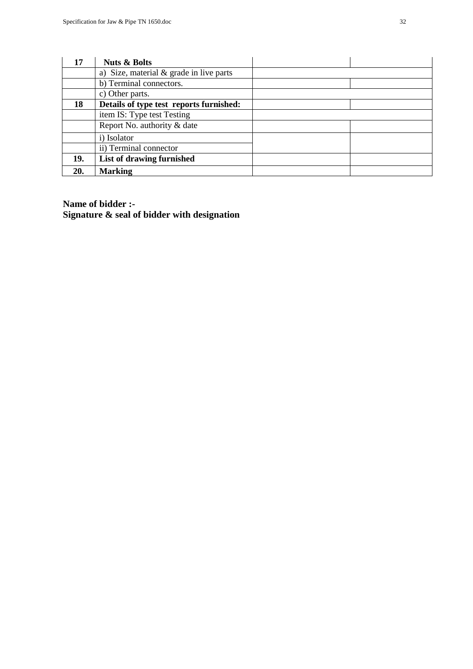| 17  | <b>Nuts &amp; Bolts</b>                   |  |
|-----|-------------------------------------------|--|
|     | a) Size, material $&$ grade in live parts |  |
|     | b) Terminal connectors.                   |  |
|     | c) Other parts.                           |  |
| 18  | Details of type test reports furnished:   |  |
|     | item IS: Type test Testing                |  |
|     | Report No. authority & date               |  |
|     | i) Isolator                               |  |
|     | ii) Terminal connector                    |  |
| 19. | List of drawing furnished                 |  |
| 20. | <b>Marking</b>                            |  |

**Name of bidder :- Signature & seal of bidder with designation**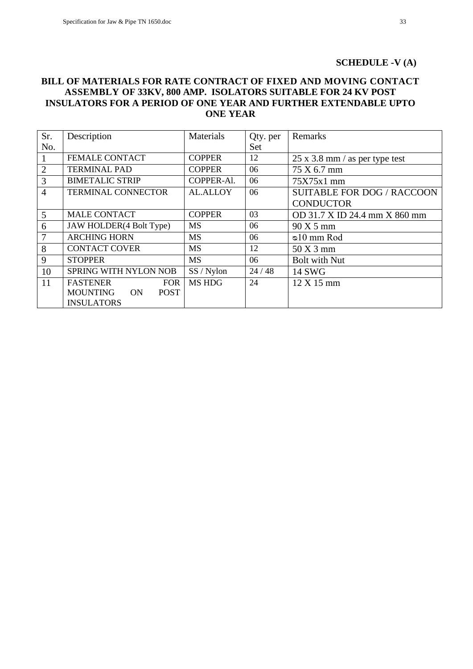#### **SCHEDULE -V (A)**

### **BILL OF MATERIALS FOR RATE CONTRACT OF FIXED AND MOVING CONTACT ASSEMBLY OF 33KV, 800 AMP. ISOLATORS SUITABLE FOR 24 KV POST INSULATORS FOR A PERIOD OF ONE YEAR AND FURTHER EXTENDABLE UPTO ONE YEAR**

| Sr.            | Description                          | Materials       | Qty. per | Remarks                               |
|----------------|--------------------------------------|-----------------|----------|---------------------------------------|
| No.            |                                      |                 | Set      |                                       |
|                | <b>FEMALE CONTACT</b>                | <b>COPPER</b>   | 12       | $25 \times 3.8$ mm / as per type test |
| $\overline{2}$ | <b>TERMINAL PAD</b>                  | <b>COPPER</b>   | 06       | 75 X 6.7 mm                           |
| 3              | <b>BIMETALIC STRIP</b>               | COPPER-Al.      | 06       | $75X75x1$ mm                          |
| $\overline{4}$ | <b>TERMINAL CONNECTOR</b>            | <b>AL.ALLOY</b> | 06       | <b>SUITABLE FOR DOG / RACCOON</b>     |
|                |                                      |                 |          | <b>CONDUCTOR</b>                      |
| 5              | <b>MALE CONTACT</b>                  | <b>COPPER</b>   | 03       | OD 31.7 X ID 24.4 mm X 860 mm         |
| 6              | JAW HOLDER(4 Bolt Type)              | <b>MS</b>       | 06       | 90 X 5 mm                             |
| $\overline{7}$ | <b>ARCHING HORN</b>                  | <b>MS</b>       | 06       | $\infty$ 10 mm Rod                    |
| 8              | <b>CONTACT COVER</b>                 | <b>MS</b>       | 12       | $50X3$ mm                             |
| 9              | <b>STOPPER</b>                       | <b>MS</b>       | 06       | <b>Bolt with Nut</b>                  |
| 10             | SPRING WITH NYLON NOB                | SS / Nylon      | 24/48    | <b>14 SWG</b>                         |
| 11             | <b>FASTENER</b><br><b>FOR</b>        | <b>MS HDG</b>   | 24       | $12 \text{ X } 15 \text{ mm}$         |
|                | <b>MOUNTING</b><br><b>POST</b><br>ON |                 |          |                                       |
|                | <b>INSULATORS</b>                    |                 |          |                                       |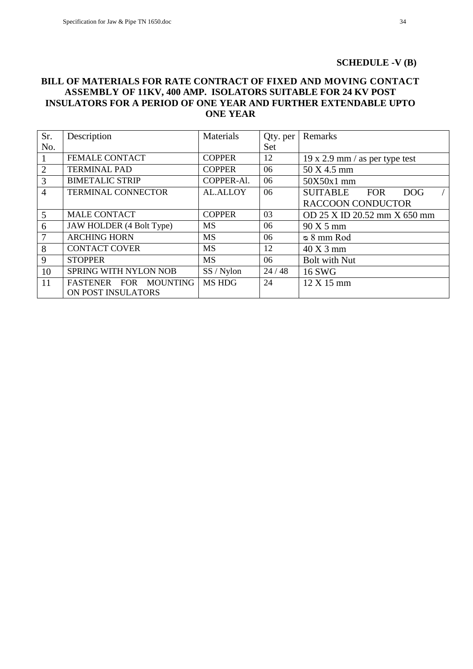#### **SCHEDULE -V (B)**

### **BILL OF MATERIALS FOR RATE CONTRACT OF FIXED AND MOVING CONTACT ASSEMBLY OF 11KV, 400 AMP. ISOLATORS SUITABLE FOR 24 KV POST INSULATORS FOR A PERIOD OF ONE YEAR AND FURTHER EXTENDABLE UPTO ONE YEAR**

| Sr.            | Description               | Materials       | Qty. per | Remarks                                     |
|----------------|---------------------------|-----------------|----------|---------------------------------------------|
| No.            |                           |                 | Set      |                                             |
|                | <b>FEMALE CONTACT</b>     | <b>COPPER</b>   | 12       | $19 \times 2.9$ mm / as per type test       |
| $\overline{2}$ | <b>TERMINAL PAD</b>       | <b>COPPER</b>   | 06       | 50 X 4.5 mm                                 |
| $\overline{3}$ | <b>BIMETALIC STRIP</b>    | COPPER-Al.      | 06       | 50X50x1 mm                                  |
| $\overline{4}$ | <b>TERMINAL CONNECTOR</b> | <b>AL.ALLOY</b> | 06       | <b>SUITABLE</b><br><b>FOR</b><br><b>DOG</b> |
|                |                           |                 |          | <b>RACCOON CONDUCTOR</b>                    |
| $\mathfrak{H}$ | <b>MALE CONTACT</b>       | <b>COPPER</b>   | 03       | OD 25 X ID 20.52 mm X 650 mm                |
| 6              | JAW HOLDER (4 Bolt Type)  | <b>MS</b>       | 06       | $90X5$ mm                                   |
| 7              | <b>ARCHING HORN</b>       | <b>MS</b>       | 06       | $\infty$ 8 mm Rod                           |
| 8              | <b>CONTACT COVER</b>      | <b>MS</b>       | 12       | $40X3$ mm                                   |
| 9              | <b>STOPPER</b>            | <b>MS</b>       | 06       | <b>Bolt with Nut</b>                        |
| 10             | SPRING WITH NYLON NOB     | SS / Nylon      | 24/48    | 16 SWG                                      |
| 11             | FASTENER FOR MOUNTING     | <b>MS HDG</b>   | 24       | $12 \text{ X } 15 \text{ mm}$               |
|                | ON POST INSULATORS        |                 |          |                                             |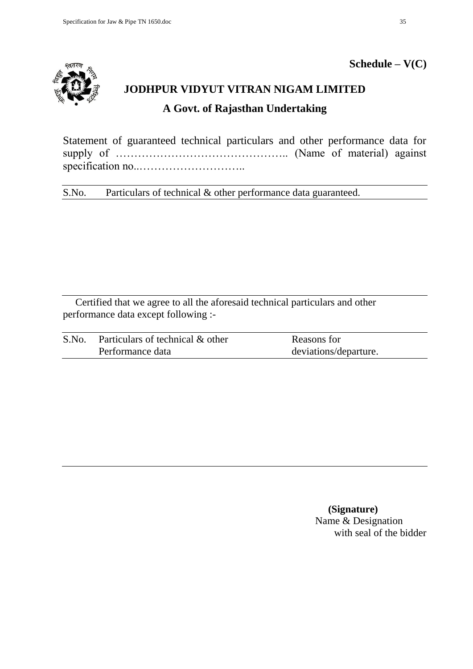

# **Schedule – V(C)**

# **JODHPUR VIDYUT VITRAN NIGAM LIMITED A Govt. of Rajasthan Undertaking**

Statement of guaranteed technical particulars and other performance data for supply of ……………………………………….. (Name of material) against specification no..………………………..

S.No. Particulars of technical & other performance data guaranteed.

Certified that we agree to all the aforesaid technical particulars and other performance data except following :-

| S.No. | Particulars of technical & other | Reasons for           |
|-------|----------------------------------|-----------------------|
|       | Performance data                 | deviations/departure. |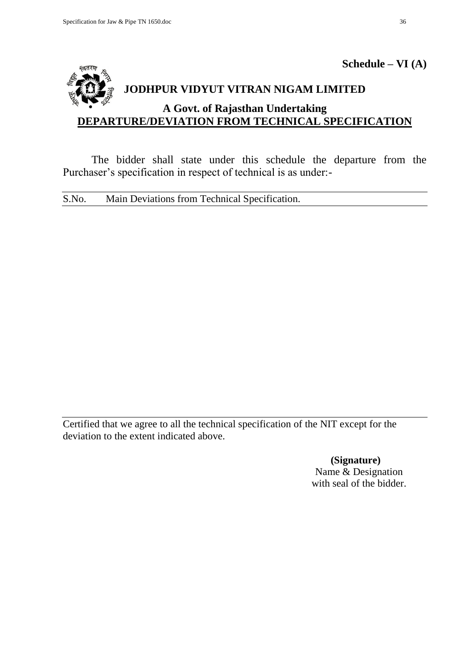

# The bidder shall state under this schedule the departure from the Purchaser's specification in respect of technical is as under:-

S.No. Main Deviations from Technical Specification.

Certified that we agree to all the technical specification of the NIT except for the deviation to the extent indicated above.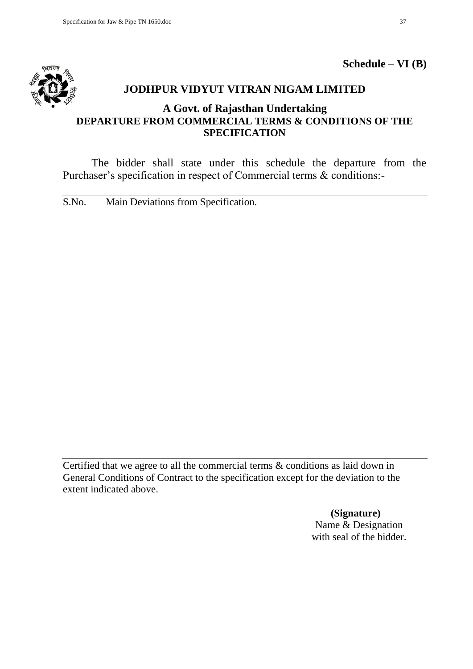

**Schedule – VI (B)**

# **JODHPUR VIDYUT VITRAN NIGAM LIMITED**

# **A Govt. of Rajasthan Undertaking DEPARTURE FROM COMMERCIAL TERMS & CONDITIONS OF THE SPECIFICATION**

The bidder shall state under this schedule the departure from the Purchaser's specification in respect of Commercial terms & conditions:-

S.No. Main Deviations from Specification.

Certified that we agree to all the commercial terms & conditions as laid down in General Conditions of Contract to the specification except for the deviation to the extent indicated above.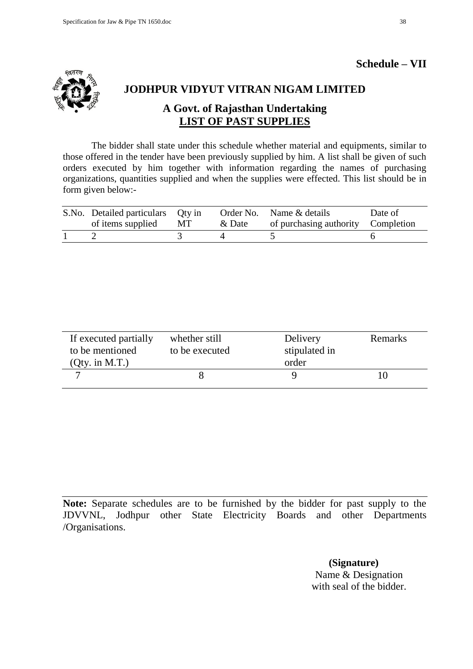# **Schedule – VII**



# **JODHPUR VIDYUT VITRAN NIGAM LIMITED**

# **A Govt. of Rajasthan Undertaking LIST OF PAST SUPPLIES**

The bidder shall state under this schedule whether material and equipments, similar to those offered in the tender have been previously supplied by him. A list shall be given of such orders executed by him together with information regarding the names of purchasing organizations, quantities supplied and when the supplies were effected. This list should be in form given below:-

| S.No. Detailed particulars Qty in<br>of items supplied | MT | & Date | Order No. Name & details<br>of purchasing authority Completion | Date of |
|--------------------------------------------------------|----|--------|----------------------------------------------------------------|---------|
|                                                        |    |        |                                                                |         |

| If executed partially<br>to be mentioned<br>$Qty.$ in M.T.) | whether still<br>to be executed | Delivery<br>stipulated in<br>order | Remarks |
|-------------------------------------------------------------|---------------------------------|------------------------------------|---------|
|                                                             |                                 |                                    |         |

**Note:** Separate schedules are to be furnished by the bidder for past supply to the JDVVNL, Jodhpur other State Electricity Boards and other Departments /Organisations.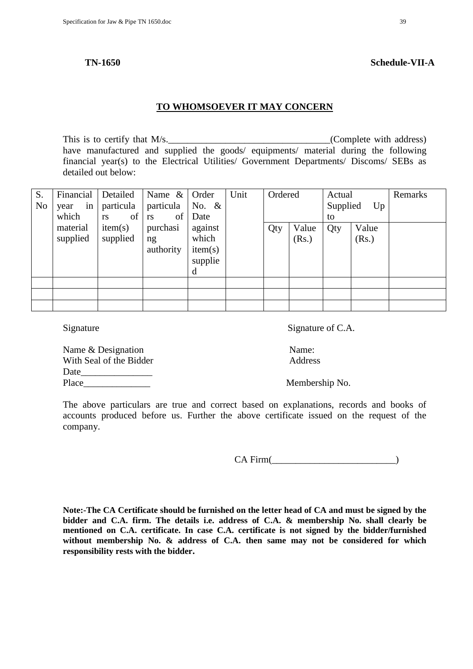#### **TO WHOMSOEVER IT MAY CONCERN**

This is to certify that  $M/s$ .  $(Complete with address)$ have manufactured and supplied the goods/ equipments/ material during the following financial year(s) to the Electrical Utilities/ Government Departments/ Discoms/ SEBs as detailed out below:

| S.             | Financial  | Detailed  | Name $\&$       | Order    | Unit | Ordered |       | Actual   |       | Remarks |
|----------------|------------|-----------|-----------------|----------|------|---------|-------|----------|-------|---------|
| N <sub>0</sub> | in<br>year | particula | particula       | No. $\&$ |      |         |       | Supplied | Up    |         |
|                | which      | of<br>rs  | of<br><b>rs</b> | Date     |      |         |       | to       |       |         |
|                | material   | item(s)   | purchasi        | against  |      | Qty     | Value | Qty      | Value |         |
|                | supplied   | supplied  | ng              | which    |      |         | (Rs.) |          | (Rs.) |         |
|                |            |           | authority       | item(s)  |      |         |       |          |       |         |
|                |            |           |                 | supplie  |      |         |       |          |       |         |
|                |            |           |                 | d        |      |         |       |          |       |         |
|                |            |           |                 |          |      |         |       |          |       |         |
|                |            |           |                 |          |      |         |       |          |       |         |
|                |            |           |                 |          |      |         |       |          |       |         |

Signature Signature of C.A.

Name & Designation Name: With Seal of the Bidder Address Date and the set of  $\overline{a}$ Place\_\_\_\_\_\_\_\_\_\_\_\_\_\_ Membership No.

The above particulars are true and correct based on explanations, records and books of accounts produced before us. Further the above certificate issued on the request of the company.

CA Firm(\_\_\_\_\_\_\_\_\_\_\_\_\_\_\_\_\_\_\_\_\_\_\_\_\_\_)

**Note:-The CA Certificate should be furnished on the letter head of CA and must be signed by the bidder and C.A. firm. The details i.e. address of C.A. & membership No. shall clearly be mentioned on C.A. certificate. In case C.A. certificate is not signed by the bidder/furnished without membership No. & address of C.A. then same may not be considered for which responsibility rests with the bidder.**

| <b>Schedule-VII-A</b> |
|-----------------------|
|                       |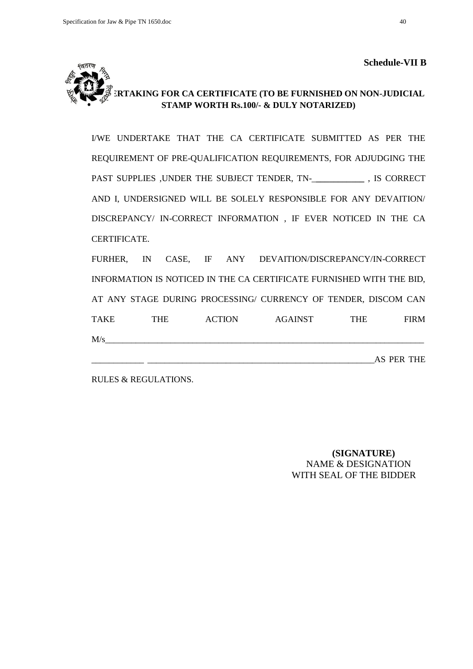

# **URTAKING FOR CA CERTIFICATE (TO BE FURNISHED ON NON-JUDICIAL STAMP WORTH Rs.100/- & DULY NOTARIZED)**

I/WE UNDERTAKE THAT THE CA CERTIFICATE SUBMITTED AS PER THE REQUIREMENT OF PRE-QUALIFICATION REQUIREMENTS, FOR ADJUDGING THE PAST SUPPLIES , UNDER THE SUBJECT TENDER, TN-<br>
, IS CORRECT AND I, UNDERSIGNED WILL BE SOLELY RESPONSIBLE FOR ANY DEVAITION/ DISCREPANCY/ IN-CORRECT INFORMATION , IF EVER NOTICED IN THE CA CERTIFICATE.

FURHER, IN CASE, IF ANY DEVAITION/DISCREPANCY/IN-CORRECT INFORMATION IS NOTICED IN THE CA CERTIFICATE FURNISHED WITH THE BID, AT ANY STAGE DURING PROCESSING/ CURRENCY OF TENDER, DISCOM CAN TAKE THE ACTION AGAINST THE FIRM  $M/s$ \_\_\_\_\_\_\_\_\_\_\_\_ \_\_\_\_\_\_\_\_\_\_\_\_\_\_\_\_\_\_\_\_\_\_\_\_\_\_\_\_\_\_\_\_\_\_\_\_\_\_\_\_\_\_\_\_\_\_\_\_\_\_\_\_AS PER THE

RULES & REGULATIONS.

 **(SIGNATURE)** NAME & DESIGNATION WITH SEAL OF THE BIDDER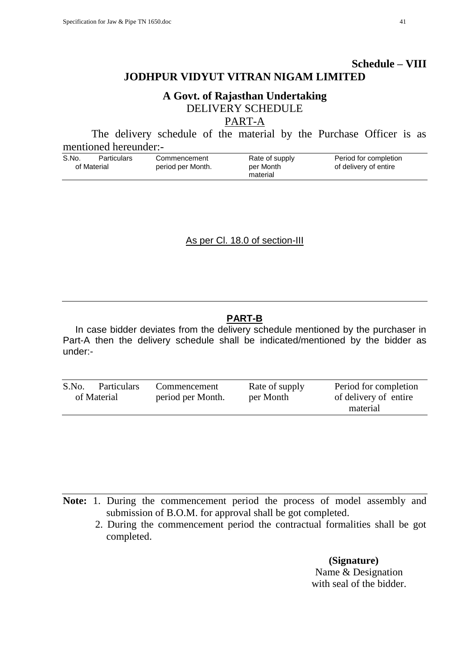# **A Govt. of Rajasthan Undertaking** DELIVERY SCHEDULE

PART-A

The delivery schedule of the material by the Purchase Officer is as mentioned hereunder:-

| S.No.       | Particulars | Commencement      | Rate of supply | Period for completion |
|-------------|-------------|-------------------|----------------|-----------------------|
| of Material |             | period per Month. | per Month      | of delivery of entire |
|             |             |                   | material       |                       |

As per Cl. 18.0 of section-III

# **PART-B**

In case bidder deviates from the delivery schedule mentioned by the purchaser in Part-A then the delivery schedule shall be indicated/mentioned by the bidder as under:-

| S.No. | <b>Particulars</b> | Commencement      | Rate of supply | Period for completion |
|-------|--------------------|-------------------|----------------|-----------------------|
|       | of Material        | period per Month. | per Month      | of delivery of entire |
|       |                    |                   |                | material              |

**Note:** 1. During the commencement period the process of model assembly and submission of B.O.M. for approval shall be got completed.

 2. During the commencement period the contractual formalities shall be got completed.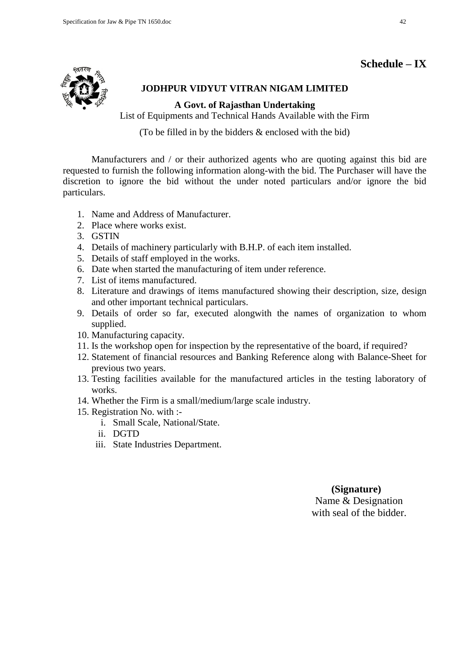# **Schedule – IX**



# **JODHPUR VIDYUT VITRAN NIGAM LIMITED**

**A Govt. of Rajasthan Undertaking**

List of Equipments and Technical Hands Available with the Firm

(To be filled in by the bidders & enclosed with the bid)

Manufacturers and / or their authorized agents who are quoting against this bid are requested to furnish the following information along-with the bid. The Purchaser will have the discretion to ignore the bid without the under noted particulars and/or ignore the bid particulars.

- 1. Name and Address of Manufacturer.
- 2. Place where works exist.
- 3. GSTIN
- 4. Details of machinery particularly with B.H.P. of each item installed.
- 5. Details of staff employed in the works.
- 6. Date when started the manufacturing of item under reference.
- 7. List of items manufactured.
- 8. Literature and drawings of items manufactured showing their description, size, design and other important technical particulars.
- 9. Details of order so far, executed alongwith the names of organization to whom supplied.
- 10. Manufacturing capacity.
- 11. Is the workshop open for inspection by the representative of the board, if required?
- 12. Statement of financial resources and Banking Reference along with Balance-Sheet for previous two years.
- 13. Testing facilities available for the manufactured articles in the testing laboratory of works.
- 14. Whether the Firm is a small/medium/large scale industry.
- 15. Registration No. with :
	- i. Small Scale, National/State.
	- ii. DGTD
	- iii. State Industries Department.

# **(Signature)**

Name & Designation with seal of the bidder.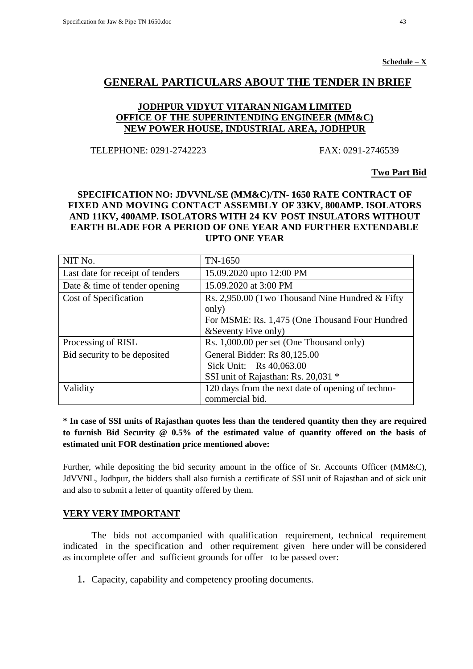# **GENERAL PARTICULARS ABOUT THE TENDER IN BRIEF**

# **JODHPUR VIDYUT VITARAN NIGAM LIMITED OFFICE OF THE SUPERINTENDING ENGINEER (MM&C) NEW POWER HOUSE, INDUSTRIAL AREA, JODHPUR**

TELEPHONE: 0291-2742223 FAX: 0291-2746539

**Two Part Bid**

# **SPECIFICATION NO: JDVVNL/SE (MM&C)/TN- 1650 RATE CONTRACT OF FIXED AND MOVING CONTACT ASSEMBLY OF 33KV, 800AMP. ISOLATORS AND 11KV, 400AMP. ISOLATORS WITH 24 KV POST INSULATORS WITHOUT EARTH BLADE FOR A PERIOD OF ONE YEAR AND FURTHER EXTENDABLE UPTO ONE YEAR**

| NIT No.                          | TN-1650                                           |  |
|----------------------------------|---------------------------------------------------|--|
| Last date for receipt of tenders | 15.09.2020 upto 12:00 PM                          |  |
| Date & time of tender opening    | 15.09.2020 at 3:00 PM                             |  |
| Cost of Specification            | Rs. 2,950.00 (Two Thousand Nine Hundred & Fifty)  |  |
|                                  | only)                                             |  |
|                                  | For MSME: Rs. 1,475 (One Thousand Four Hundred    |  |
|                                  | & Seventy Five only)                              |  |
| Processing of RISL               | Rs. 1,000.00 per set (One Thousand only)          |  |
| Bid security to be deposited     | General Bidder: Rs 80,125.00                      |  |
|                                  | Sick Unit: Rs 40,063.00                           |  |
|                                  | SSI unit of Rajasthan: Rs. 20,031 *               |  |
| Validity                         | 120 days from the next date of opening of techno- |  |
|                                  | commercial bid.                                   |  |

# **\* In case of SSI units of Rajasthan quotes less than the tendered quantity then they are required to furnish Bid Security @ 0.5% of the estimated value of quantity offered on the basis of estimated unit FOR destination price mentioned above:**

Further, while depositing the bid security amount in the office of Sr. Accounts Officer (MM&C), JdVVNL, Jodhpur, the bidders shall also furnish a certificate of SSI unit of Rajasthan and of sick unit and also to submit a letter of quantity offered by them.

### **VERY VERY IMPORTANT**

The bids not accompanied with qualification requirement, technical requirement indicated in the specification and other requirement given here under will be considered as incomplete offer and sufficient grounds for offer to be passed over:

1. Capacity, capability and competency proofing documents.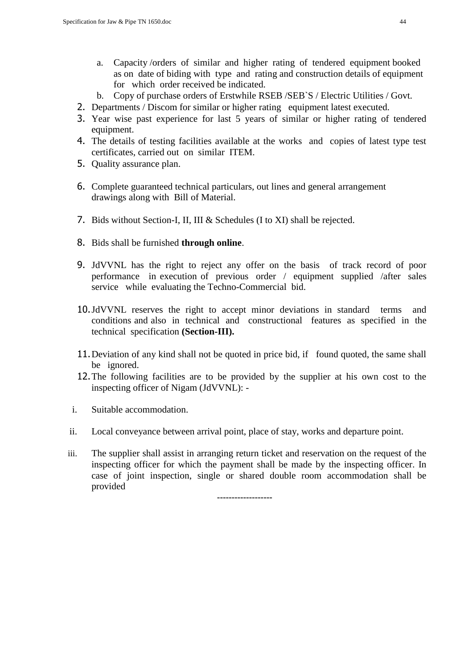- a. Capacity /orders of similar and higher rating of tendered equipment booked as on date of biding with type and rating and construction details of equipment for which order received be indicated.
- b. Copy of purchase orders of Erstwhile RSEB /SEB`S / Electric Utilities / Govt.
- 2. Departments / Discom for similar or higher rating equipment latest executed.
- 3. Year wise past experience for last 5 years of similar or higher rating of tendered equipment.
- 4. The details of testing facilities available at the works and copies of latest type test certificates, carried out on similar ITEM.
- 5. Quality assurance plan.
- 6. Complete guaranteed technical particulars, out lines and general arrangement drawings along with Bill of Material.
- 7. Bids without Section-I, II, III & Schedules (I to XI) shall be rejected.
- 8. Bids shall be furnished **through online**.
- 9. JdVVNL has the right to reject any offer on the basis of track record of poor performance in execution of previous order / equipment supplied /after sales service while evaluating the Techno-Commercial bid.
- 10.JdVVNL reserves the right to accept minor deviations in standard terms and conditions and also in technical and constructional features as specified in the technical specification **(Section-III).**
- 11.Deviation of any kind shall not be quoted in price bid, if found quoted, the same shall be ignored.
- 12.The following facilities are to be provided by the supplier at his own cost to the inspecting officer of Nigam (JdVVNL): -
- i. Suitable accommodation.
- ii. Local conveyance between arrival point, place of stay, works and departure point.
- iii. The supplier shall assist in arranging return ticket and reservation on the request of the inspecting officer for which the payment shall be made by the inspecting officer. In case of joint inspection, single or shared double room accommodation shall be provided

**-------------------**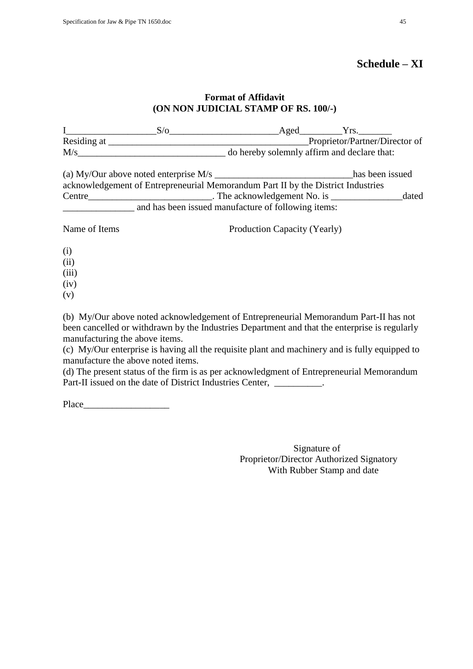# **Schedule – XI**

### **Format of Affidavit (ON NON JUDICIAL STAMP OF RS. 100/-)**

| $\mathbf{I}$ and $\mathbf{I}$ and $\mathbf{I}$ and $\mathbf{I}$ |                                                                                  | $S/O$ Aged $Yrs$ .           |                                             |       |
|-----------------------------------------------------------------|----------------------------------------------------------------------------------|------------------------------|---------------------------------------------|-------|
|                                                                 |                                                                                  |                              |                                             |       |
|                                                                 | M/s                                                                              |                              | do hereby solemnly affirm and declare that: |       |
|                                                                 |                                                                                  |                              | has been issued                             |       |
|                                                                 | acknowledgement of Entrepreneurial Memorandum Part II by the District Industries |                              |                                             |       |
|                                                                 |                                                                                  |                              |                                             | dated |
|                                                                 | and has been issued manufacture of following items:                              |                              |                                             |       |
| Name of Items                                                   |                                                                                  | Production Capacity (Yearly) |                                             |       |
| (i)                                                             |                                                                                  |                              |                                             |       |
| (ii)                                                            |                                                                                  |                              |                                             |       |
| (iii)                                                           |                                                                                  |                              |                                             |       |
| (iv)                                                            |                                                                                  |                              |                                             |       |
| (v)                                                             |                                                                                  |                              |                                             |       |

(b) My/Our above noted acknowledgement of Entrepreneurial Memorandum Part-II has not been cancelled or withdrawn by the Industries Department and that the enterprise is regularly manufacturing the above items.

(c) My/Our enterprise is having all the requisite plant and machinery and is fully equipped to manufacture the above noted items.

(d) The present status of the firm is as per acknowledgment of Entrepreneurial Memorandum Part-II issued on the date of District Industries Center, \_\_\_\_\_\_\_\_\_.

Place  $\Box$ 

Signature of Proprietor/Director Authorized Signatory With Rubber Stamp and date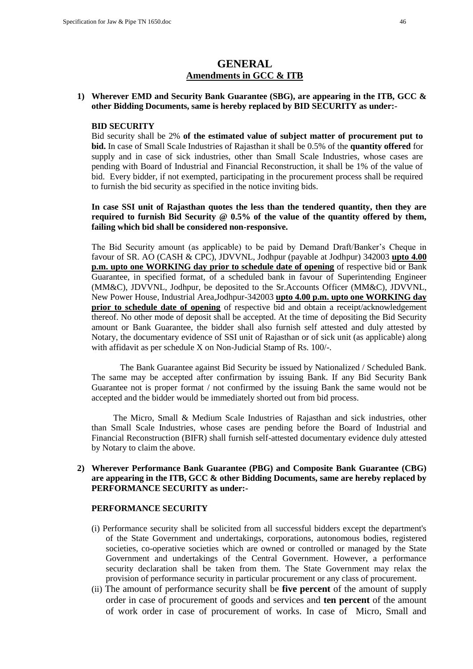# **GENERAL Amendments in GCC & ITB**

#### **1) Wherever EMD and Security Bank Guarantee (SBG), are appearing in the ITB, GCC & other Bidding Documents, same is hereby replaced by BID SECURITY as under:-**

#### **BID SECURITY**

Bid security shall be 2% **of the estimated value of subject matter of procurement put to bid.** In case of Small Scale Industries of Rajasthan it shall be 0.5% of the **quantity offered** for supply and in case of sick industries, other than Small Scale Industries, whose cases are pending with Board of Industrial and Financial Reconstruction, it shall be 1% of the value of bid. Every bidder, if not exempted, participating in the procurement process shall be required to furnish the bid security as specified in the notice inviting bids.

**In case SSI unit of Rajasthan quotes the less than the tendered quantity, then they are required to furnish Bid Security @ 0.5% of the value of the quantity offered by them, failing which bid shall be considered non-responsive.** 

The Bid Security amount (as applicable) to be paid by Demand Draft/Banker"s Cheque in favour of SR. AO (CASH & CPC), JDVVNL, Jodhpur (payable at Jodhpur) 342003 **upto 4.00 p.m. upto one WORKING day prior to schedule date of opening** of respective bid or Bank Guarantee, in specified format, of a scheduled bank in favour of Superintending Engineer (MM&C), JDVVNL, Jodhpur, be deposited to the Sr.Accounts Officer (MM&C), JDVVNL, New Power House, Industrial Area,Jodhpur-342003 **upto 4.00 p.m. upto one WORKING day prior to schedule date of opening** of respective bid and obtain a receipt/acknowledgement thereof. No other mode of deposit shall be accepted. At the time of depositing the Bid Security amount or Bank Guarantee, the bidder shall also furnish self attested and duly attested by Notary, the documentary evidence of SSI unit of Rajasthan or of sick unit (as applicable) along with affidavit as per schedule X on Non-Judicial Stamp of Rs. 100/-.

The Bank Guarantee against Bid Security be issued by Nationalized / Scheduled Bank. The same may be accepted after confirmation by issuing Bank. If any Bid Security Bank Guarantee not is proper format / not confirmed by the issuing Bank the same would not be accepted and the bidder would be immediately shorted out from bid process.

 The Micro, Small & Medium Scale Industries of Rajasthan and sick industries, other than Small Scale Industries, whose cases are pending before the Board of Industrial and Financial Reconstruction (BIFR) shall furnish self-attested documentary evidence duly attested by Notary to claim the above.

#### **2) Wherever Performance Bank Guarantee (PBG) and Composite Bank Guarantee (CBG) are appearing in the ITB, GCC & other Bidding Documents, same are hereby replaced by PERFORMANCE SECURITY as under:-**

#### **PERFORMANCE SECURITY**

- (i) Performance security shall be solicited from all successful bidders except the department's of the State Government and undertakings, corporations, autonomous bodies, registered societies, co-operative societies which are owned or controlled or managed by the State Government and undertakings of the Central Government. However, a performance security declaration shall be taken from them. The State Government may relax the provision of performance security in particular procurement or any class of procurement.
- (ii) The amount of performance security shall be **five percent** of the amount of supply order in case of procurement of goods and services and **ten percent** of the amount of work order in case of procurement of works. In case of Micro, Small and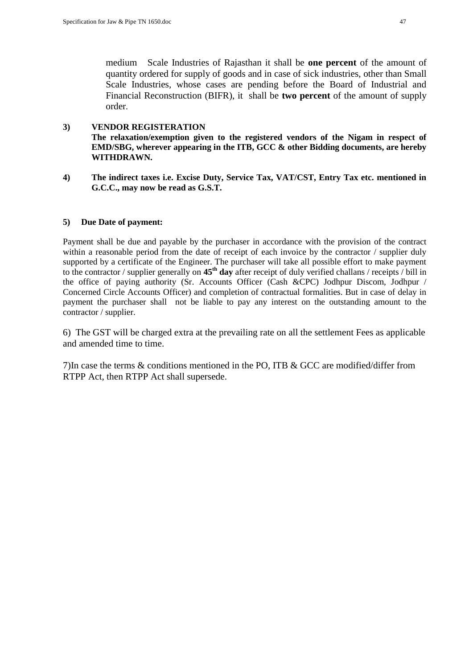medium Scale Industries of Rajasthan it shall be **one percent** of the amount of quantity ordered for supply of goods and in case of sick industries, other than Small Scale Industries, whose cases are pending before the Board of Industrial and Financial Reconstruction (BIFR), it shall be **two percent** of the amount of supply order.

# **3) VENDOR REGISTERATION**

**The relaxation/exemption given to the registered vendors of the Nigam in respect of EMD/SBG, wherever appearing in the ITB, GCC & other Bidding documents, are hereby WITHDRAWN.**

**4) The indirect taxes i.e. Excise Duty, Service Tax, VAT/CST, Entry Tax etc. mentioned in G.C.C., may now be read as G.S.T.**

# **5) Due Date of payment:**

Payment shall be due and payable by the purchaser in accordance with the provision of the contract within a reasonable period from the date of receipt of each invoice by the contractor / supplier duly supported by a certificate of the Engineer. The purchaser will take all possible effort to make payment to the contractor / supplier generally on **45th day** after receipt of duly verified challans / receipts / bill in the office of paying authority (Sr. Accounts Officer (Cash &CPC) Jodhpur Discom, Jodhpur / Concerned Circle Accounts Officer) and completion of contractual formalities. But in case of delay in payment the purchaser shall not be liable to pay any interest on the outstanding amount to the contractor / supplier.

6) The GST will be charged extra at the prevailing rate on all the settlement Fees as applicable and amended time to time.

7)In case the terms & conditions mentioned in the PO, ITB & GCC are modified/differ from RTPP Act, then RTPP Act shall supersede.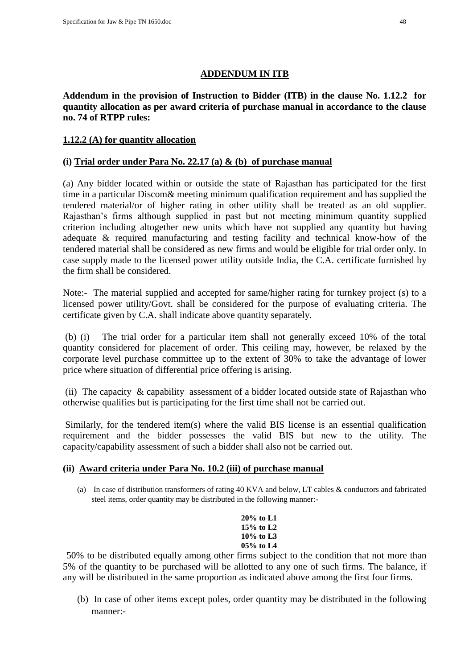# **ADDENDUM IN ITB**

**Addendum in the provision of Instruction to Bidder (ITB) in the clause No. 1.12.2 for quantity allocation as per award criteria of purchase manual in accordance to the clause no. 74 of RTPP rules:**

# **1.12.2 (A) for quantity allocation**

# **(i) Trial order under Para No. 22.17 (a) & (b) of purchase manual**

(a) Any bidder located within or outside the state of Rajasthan has participated for the first time in a particular Discom& meeting minimum qualification requirement and has supplied the tendered material/or of higher rating in other utility shall be treated as an old supplier. Rajasthan"s firms although supplied in past but not meeting minimum quantity supplied criterion including altogether new units which have not supplied any quantity but having adequate & required manufacturing and testing facility and technical know-how of the tendered material shall be considered as new firms and would be eligible for trial order only. In case supply made to the licensed power utility outside India, the C.A. certificate furnished by the firm shall be considered.

Note:- The material supplied and accepted for same/higher rating for turnkey project (s) to a licensed power utility/Govt. shall be considered for the purpose of evaluating criteria. The certificate given by C.A. shall indicate above quantity separately.

(b) (i) The trial order for a particular item shall not generally exceed 10% of the total quantity considered for placement of order. This ceiling may, however, be relaxed by the corporate level purchase committee up to the extent of 30% to take the advantage of lower price where situation of differential price offering is arising.

(ii) The capacity  $\&$  capability assessment of a bidder located outside state of Rajasthan who otherwise qualifies but is participating for the first time shall not be carried out.

Similarly, for the tendered item(s) where the valid BIS license is an essential qualification requirement and the bidder possesses the valid BIS but new to the utility. The capacity/capability assessment of such a bidder shall also not be carried out.

### **(ii) Award criteria under Para No. 10.2 (iii) of purchase manual**

(a) In case of distribution transformers of rating 40 KVA and below, LT cables & conductors and fabricated steel items, order quantity may be distributed in the following manner:-

```
20% to L1
15% to L2
10% to L3
05% to L4
```
50% to be distributed equally among other firms subject to the condition that not more than 5% of the quantity to be purchased will be allotted to any one of such firms. The balance, if any will be distributed in the same proportion as indicated above among the first four firms.

(b) In case of other items except poles, order quantity may be distributed in the following manner:-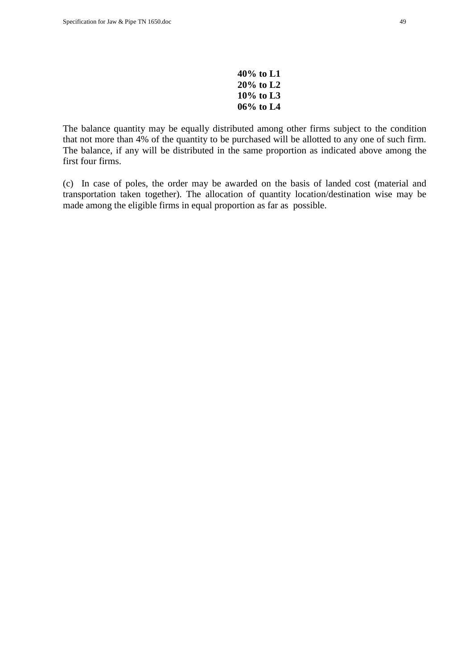| 40% to L1    |  |
|--------------|--|
| 20% to L2    |  |
| $10\%$ to L3 |  |
|              |  |

The balance quantity may be equally distributed among other firms subject to the condition that not more than 4% of the quantity to be purchased will be allotted to any one of such firm. The balance, if any will be distributed in the same proportion as indicated above among the first four firms.

(c) In case of poles, the order may be awarded on the basis of landed cost (material and transportation taken together). The allocation of quantity location/destination wise may be made among the eligible firms in equal proportion as far as possible.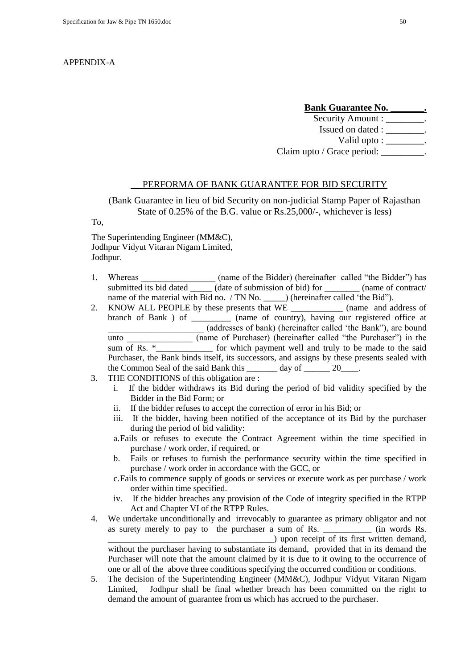#### APPENDIX-A

#### **Bank Guarantee No. \_\_\_\_\_\_\_.**

Security Amount :  $\qquad \qquad$ Issued on dated : \_\_\_\_\_\_\_\_. Valid upto : \_\_\_\_\_\_\_\_. Claim upto / Grace period: \_\_\_\_\_\_\_\_\_.

#### PERFORMA OF BANK GUARANTEE FOR BID SECURITY

(Bank Guarantee in lieu of bid Security on non-judicial Stamp Paper of Rajasthan State of 0.25% of the B.G. value or Rs.25,000/-, whichever is less)

To,

The Superintending Engineer (MM&C), Jodhpur Vidyut Vitaran Nigam Limited, Jodhpur.

- 1. Whereas (name of the Bidder) (hereinafter called "the Bidder") has submitted its bid dated (date of submission of bid) for (name of contract/ name of the material with Bid no. / TN No. \_\_\_\_\_\_) (hereinafter called 'the Bid'').
- 2. KNOW ALL PEOPLE by these presents that WE \_\_\_\_\_\_\_\_\_\_\_\_\_\_ (name and address of branch of Bank ) of \_\_\_\_\_\_\_\_\_ (name of country), having our registered office at (addresses of bank) (hereinafter called 'the Bank"), are bound unto (name of Purchaser) (hereinafter called "the Purchaser") in the sum of Rs.  $*$  \_\_\_\_\_\_\_\_ for which payment well and truly to be made to the said Purchaser, the Bank binds itself, its successors, and assigns by these presents sealed with the Common Seal of the said Bank this \_\_\_\_\_\_\_ day of 20\_\_\_\_\_\_\_\_\_\_\_\_\_\_\_\_\_\_\_\_\_\_\_\_\_\_
- 3. THE CONDITIONS of this obligation are :
	- i. If the bidder withdraws its Bid during the period of bid validity specified by the Bidder in the Bid Form; or
	- ii. If the bidder refuses to accept the correction of error in his Bid; or
	- iii. If the bidder, having been notified of the acceptance of its Bid by the purchaser during the period of bid validity:
	- a.Fails or refuses to execute the Contract Agreement within the time specified in purchase / work order, if required, or
	- b. Fails or refuses to furnish the performance security within the time specified in purchase / work order in accordance with the GCC, or
	- c.Fails to commence supply of goods or services or execute work as per purchase / work order within time specified.
	- iv. If the bidder breaches any provision of the Code of integrity specified in the RTPP Act and Chapter VI of the RTPP Rules.
- 4. We undertake unconditionally and irrevocably to guarantee as primary obligator and not as surety merely to pay to the purchaser a sum of Rs. \_\_\_\_\_\_\_\_\_\_\_ (in words Rs. \_\_\_\_\_\_\_\_\_\_\_\_\_\_\_\_\_\_\_\_\_\_\_\_\_\_\_\_\_\_\_\_\_\_\_\_\_\_) upon receipt of its first written demand, without the purchaser having to substantiate its demand, provided that in its demand the Purchaser will note that the amount claimed by it is due to it owing to the occurrence of one or all of the above three conditions specifying the occurred condition or conditions.
- 5. The decision of the Superintending Engineer (MM&C), Jodhpur Vidyut Vitaran Nigam Limited, Jodhpur shall be final whether breach has been committed on the right to demand the amount of guarantee from us which has accrued to the purchaser.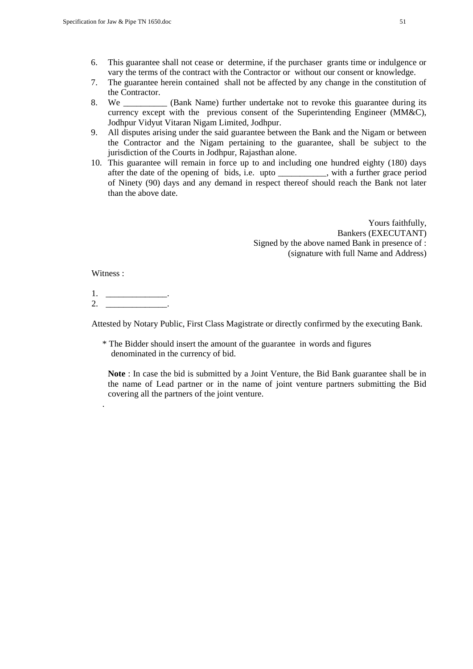- 6. This guarantee shall not cease or determine, if the purchaser grants time or indulgence or vary the terms of the contract with the Contractor or without our consent or knowledge.
- 7. The guarantee herein contained shall not be affected by any change in the constitution of the Contractor.
- 8. We \_\_\_\_\_\_\_\_\_\_ (Bank Name) further undertake not to revoke this guarantee during its currency except with the previous consent of the Superintending Engineer (MM&C), Jodhpur Vidyut Vitaran Nigam Limited, Jodhpur.
- 9. All disputes arising under the said guarantee between the Bank and the Nigam or between the Contractor and the Nigam pertaining to the guarantee, shall be subject to the jurisdiction of the Courts in Jodhpur, Rajasthan alone.
- 10. This guarantee will remain in force up to and including one hundred eighty (180) days after the date of the opening of bids, i.e. upto \_\_\_\_\_\_\_\_\_\_\_, with a further grace period of Ninety (90) days and any demand in respect thereof should reach the Bank not later than the above date.

Yours faithfully, Bankers (EXECUTANT) Signed by the above named Bank in presence of : (signature with full Name and Address)

Witness :

.

 $1<sub>-</sub>$  $2.$ 

Attested by Notary Public, First Class Magistrate or directly confirmed by the executing Bank.

\* The Bidder should insert the amount of the guarantee in words and figures denominated in the currency of bid.

**Note** : In case the bid is submitted by a Joint Venture, the Bid Bank guarantee shall be in the name of Lead partner or in the name of joint venture partners submitting the Bid covering all the partners of the joint venture.